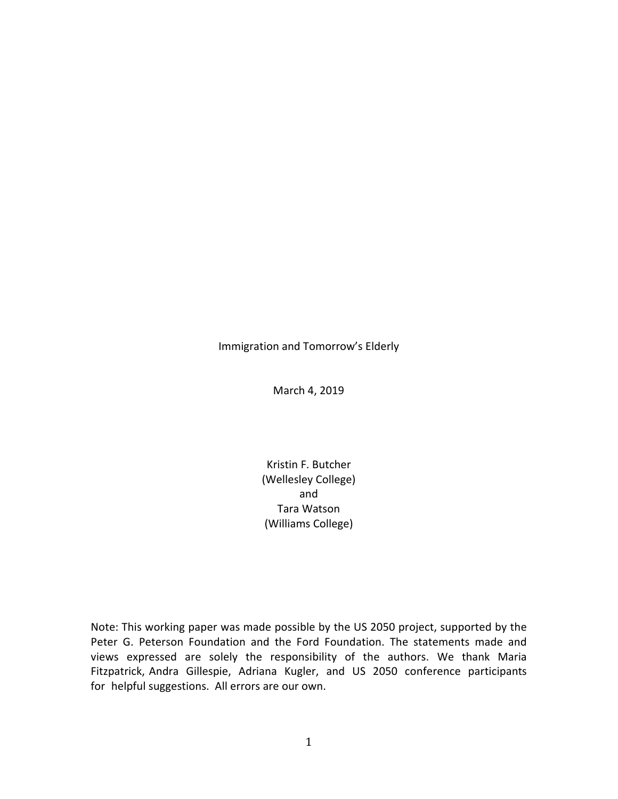Immigration and Tomorrow's Elderly

March 4, 2019

Kristin F. Butcher (Wellesley College) and Tara Watson (Williams College)

Note: This working paper was made possible by the US 2050 project, supported by the Peter G. Peterson Foundation and the Ford Foundation. The statements made and views expressed are solely the responsibility of the authors. We thank Maria Fitzpatrick, Andra Gillespie, Adriana Kugler, and US 2050 conference participants for helpful suggestions. All errors are our own.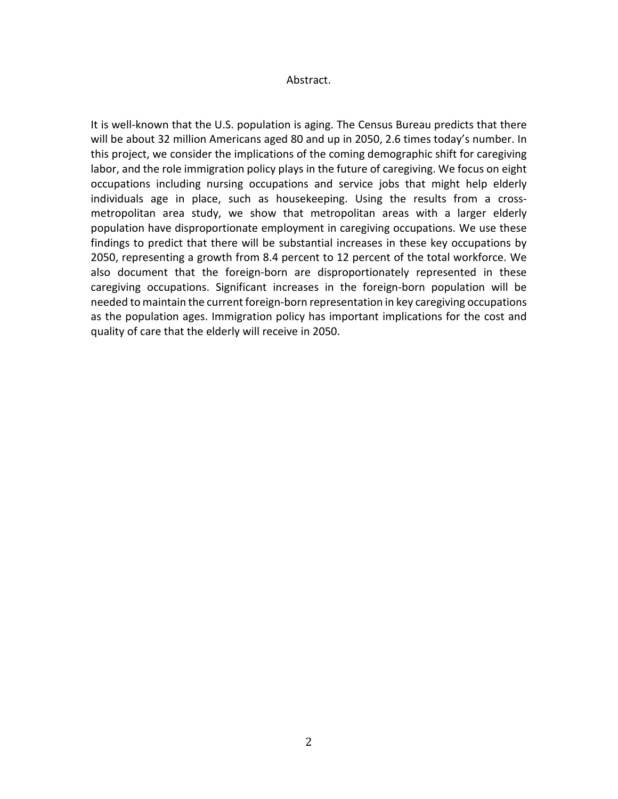# Abstract.

It is well-known that the U.S. population is aging. The Census Bureau predicts that there will be about 32 million Americans aged 80 and up in 2050, 2.6 times today's number. In this project, we consider the implications of the coming demographic shift for caregiving labor, and the role immigration policy plays in the future of caregiving. We focus on eight occupations including nursing occupations and service jobs that might help elderly individuals age in place, such as housekeeping. Using the results from a crossmetropolitan area study, we show that metropolitan areas with a larger elderly population have disproportionate employment in caregiving occupations. We use these findings to predict that there will be substantial increases in these key occupations by 2050, representing a growth from 8.4 percent to 12 percent of the total workforce. We also document that the foreign-born are disproportionately represented in these caregiving occupations. Significant increases in the foreign-born population will be needed to maintain the current foreign-born representation in key caregiving occupations as the population ages. Immigration policy has important implications for the cost and quality of care that the elderly will receive in 2050.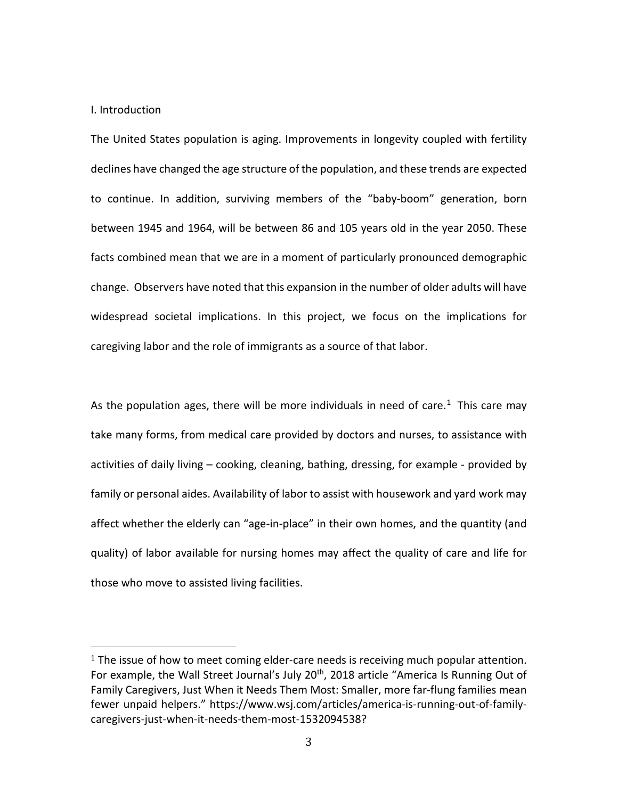### I. Introduction

The United States population is aging. Improvements in longevity coupled with fertility declines have changed the age structure of the population, and these trends are expected to continue. In addition, surviving members of the "baby-boom" generation, born between 1945 and 1964, will be between 86 and 105 years old in the year 2050. These facts combined mean that we are in a moment of particularly pronounced demographic change. Observers have noted that this expansion in the number of older adults will have widespread societal implications. In this project, we focus on the implications for caregiving labor and the role of immigrants as a source of that labor.

As the population ages, there will be more individuals in need of care.<sup>1</sup> This care may take many forms, from medical care provided by doctors and nurses, to assistance with activities of daily living – cooking, cleaning, bathing, dressing, for example - provided by family or personal aides. Availability of labor to assist with housework and yard work may affect whether the elderly can "age-in-place" in their own homes, and the quantity (and quality) of labor available for nursing homes may affect the quality of care and life for those who move to assisted living facilities.

<span id="page-2-0"></span> $1$  The issue of how to meet coming elder-care needs is receiving much popular attention. For example, the Wall Street Journal's July 20<sup>th</sup>, 2018 article "America Is Running Out of Family Caregivers, Just When it Needs Them Most: Smaller, more far-flung families mean fewer unpaid helpers." https://www.wsj.com/articles/america-is-running-out-of-familycaregivers-just-when-it-needs-them-most-1532094538?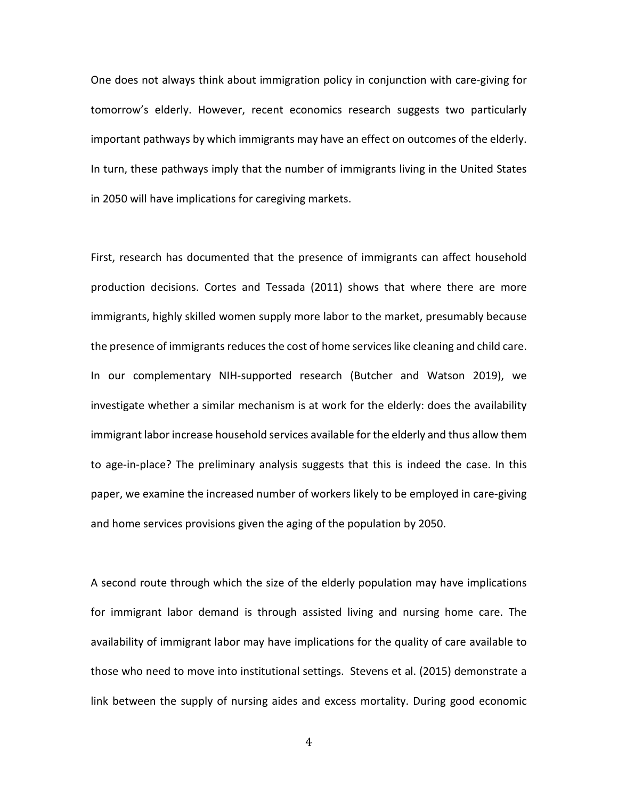One does not always think about immigration policy in conjunction with care-giving for tomorrow's elderly. However, recent economics research suggests two particularly important pathways by which immigrants may have an effect on outcomes of the elderly. In turn, these pathways imply that the number of immigrants living in the United States in 2050 will have implications for caregiving markets.

First, research has documented that the presence of immigrants can affect household production decisions. Cortes and Tessada (2011) shows that where there are more immigrants, highly skilled women supply more labor to the market, presumably because the presence of immigrants reduces the cost of home serviceslike cleaning and child care. In our complementary NIH-supported research (Butcher and Watson 2019), we investigate whether a similar mechanism is at work for the elderly: does the availability immigrant labor increase household services available for the elderly and thus allow them to age-in-place? The preliminary analysis suggests that this is indeed the case. In this paper, we examine the increased number of workers likely to be employed in care-giving and home services provisions given the aging of the population by 2050.

A second route through which the size of the elderly population may have implications for immigrant labor demand is through assisted living and nursing home care. The availability of immigrant labor may have implications for the quality of care available to those who need to move into institutional settings. Stevens et al. (2015) demonstrate a link between the supply of nursing aides and excess mortality. During good economic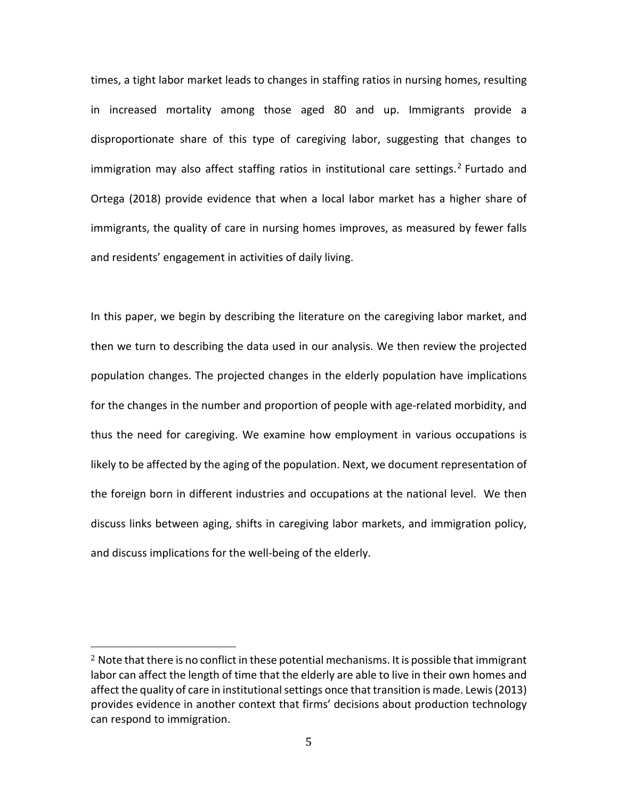times, a tight labor market leads to changes in staffing ratios in nursing homes, resulting in increased mortality among those aged 80 and up. Immigrants provide a disproportionate share of this type of caregiving labor, suggesting that changes to immigration may also affect staffing ratios in institutional care settings.<sup>[2](#page-4-0)</sup> Furtado and Ortega (2018) provide evidence that when a local labor market has a higher share of immigrants, the quality of care in nursing homes improves, as measured by fewer falls and residents' engagement in activities of daily living.

In this paper, we begin by describing the literature on the caregiving labor market, and then we turn to describing the data used in our analysis. We then review the projected population changes. The projected changes in the elderly population have implications for the changes in the number and proportion of people with age-related morbidity, and thus the need for caregiving. We examine how employment in various occupations is likely to be affected by the aging of the population. Next, we document representation of the foreign born in different industries and occupations at the national level. We then discuss links between aging, shifts in caregiving labor markets, and immigration policy, and discuss implications for the well-being of the elderly.

<span id="page-4-0"></span> $2$  Note that there is no conflict in these potential mechanisms. It is possible that immigrant labor can affect the length of time that the elderly are able to live in their own homes and affect the quality of care in institutional settings once that transition is made. Lewis (2013) provides evidence in another context that firms' decisions about production technology can respond to immigration.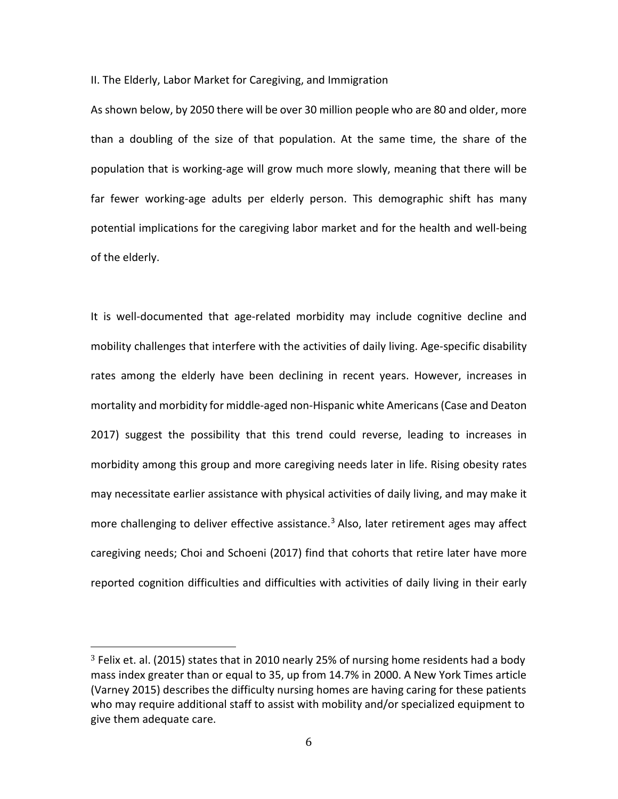II. The Elderly, Labor Market for Caregiving, and Immigration

As shown below, by 2050 there will be over 30 million people who are 80 and older, more than a doubling of the size of that population. At the same time, the share of the population that is working-age will grow much more slowly, meaning that there will be far fewer working-age adults per elderly person. This demographic shift has many potential implications for the caregiving labor market and for the health and well-being of the elderly.

It is well-documented that age-related morbidity may include cognitive decline and mobility challenges that interfere with the activities of daily living. Age-specific disability rates among the elderly have been declining in recent years. However, increases in mortality and morbidity for middle-aged non-Hispanic white Americans (Case and Deaton 2017) suggest the possibility that this trend could reverse, leading to increases in morbidity among this group and more caregiving needs later in life. Rising obesity rates may necessitate earlier assistance with physical activities of daily living, and may make it more challenging to deliver effective assistance.<sup>[3](#page-5-0)</sup> Also, later retirement ages may affect caregiving needs; Choi and Schoeni (2017) find that cohorts that retire later have more reported cognition difficulties and difficulties with activities of daily living in their early

<span id="page-5-0"></span> $3$  Felix et. al. (2015) states that in 2010 nearly 25% of nursing home residents had a body mass index greater than or equal to 35, up from 14.7% in 2000. A New York Times article (Varney 2015) describes the difficulty nursing homes are having caring for these patients who may require additional staff to assist with mobility and/or specialized equipment to give them adequate care.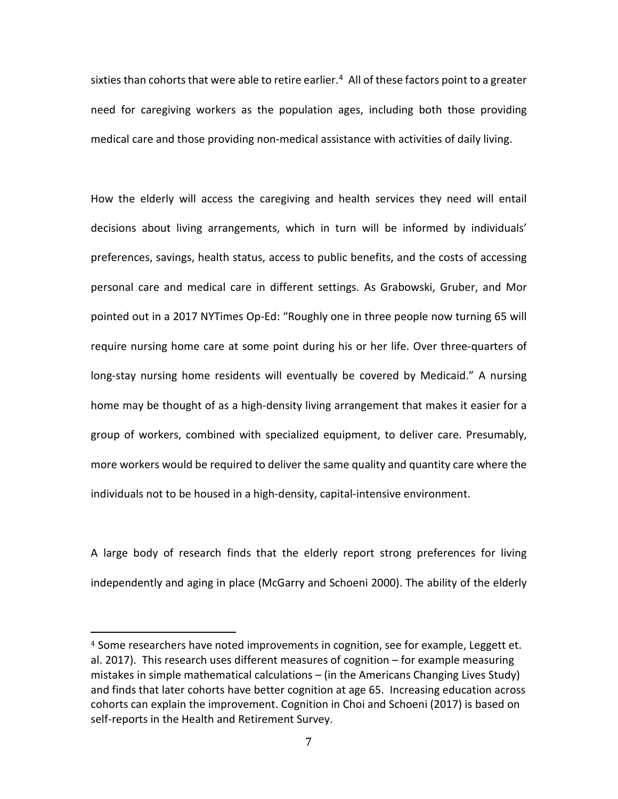sixties than cohorts that were able to retire earlier. [4](#page-6-0) All of these factors point to a greater need for caregiving workers as the population ages, including both those providing medical care and those providing non-medical assistance with activities of daily living.

How the elderly will access the caregiving and health services they need will entail decisions about living arrangements, which in turn will be informed by individuals' preferences, savings, health status, access to public benefits, and the costs of accessing personal care and medical care in different settings. As Grabowski, Gruber, and Mor pointed out in a 2017 NYTimes Op-Ed: "Roughly one in three people now turning 65 will require nursing home care at some point during his or her life. Over three-quarters of long-stay nursing home residents will eventually be covered by Medicaid." A nursing home may be thought of as a high-density living arrangement that makes it easier for a group of workers, combined with specialized equipment, to deliver care. Presumably, more workers would be required to deliver the same quality and quantity care where the individuals not to be housed in a high-density, capital-intensive environment.

A large body of research finds that the elderly report strong preferences for living independently and aging in place (McGarry and Schoeni 2000). The ability of the elderly

<span id="page-6-0"></span> $4$  Some researchers have noted improvements in cognition, see for example, Leggett et. al. 2017). This research uses different measures of cognition – for example measuring mistakes in simple mathematical calculations – (in the Americans Changing Lives Study) and finds that later cohorts have better cognition at age 65. Increasing education across cohorts can explain the improvement. Cognition in Choi and Schoeni (2017) is based on self-reports in the Health and Retirement Survey.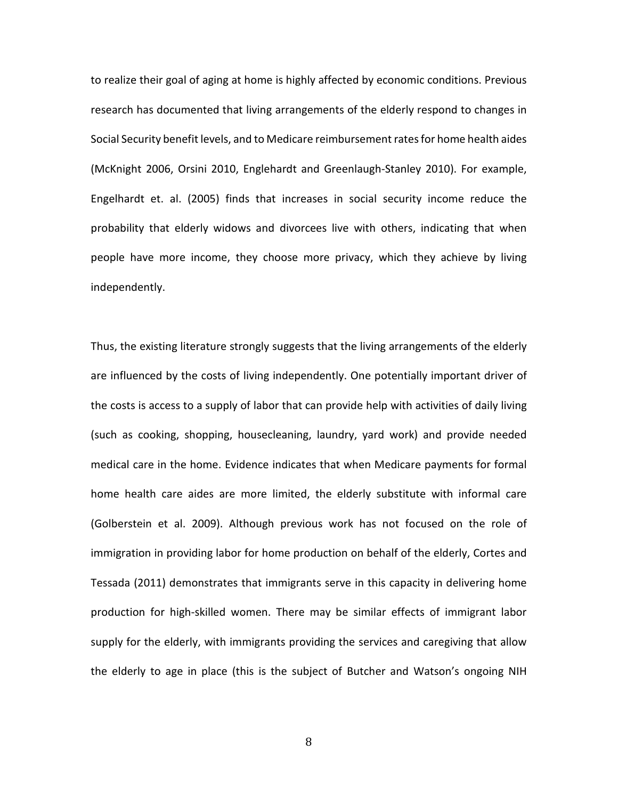to realize their goal of aging at home is highly affected by economic conditions. Previous research has documented that living arrangements of the elderly respond to changes in Social Security benefit levels, and to Medicare reimbursement rates for home health aides (McKnight 2006, Orsini 2010, Englehardt and Greenlaugh-Stanley 2010). For example, Engelhardt et. al. (2005) finds that increases in social security income reduce the probability that elderly widows and divorcees live with others, indicating that when people have more income, they choose more privacy, which they achieve by living independently.

Thus, the existing literature strongly suggests that the living arrangements of the elderly are influenced by the costs of living independently. One potentially important driver of the costs is access to a supply of labor that can provide help with activities of daily living (such as cooking, shopping, housecleaning, laundry, yard work) and provide needed medical care in the home. Evidence indicates that when Medicare payments for formal home health care aides are more limited, the elderly substitute with informal care (Golberstein et al. 2009). Although previous work has not focused on the role of immigration in providing labor for home production on behalf of the elderly, Cortes and Tessada (2011) demonstrates that immigrants serve in this capacity in delivering home production for high-skilled women. There may be similar effects of immigrant labor supply for the elderly, with immigrants providing the services and caregiving that allow the elderly to age in place (this is the subject of Butcher and Watson's ongoing NIH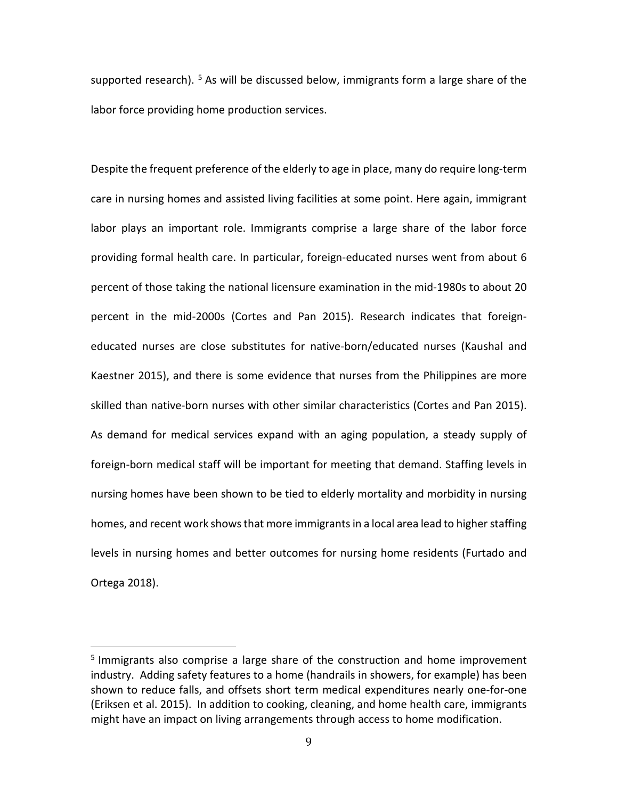supported research). <sup>[5](#page-8-0)</sup> As will be discussed below, immigrants form a large share of the labor force providing home production services.

Despite the frequent preference of the elderly to age in place, many do require long-term care in nursing homes and assisted living facilities at some point. Here again, immigrant labor plays an important role. Immigrants comprise a large share of the labor force providing formal health care. In particular, foreign-educated nurses went from about 6 percent of those taking the national licensure examination in the mid-1980s to about 20 percent in the mid-2000s (Cortes and Pan 2015). Research indicates that foreigneducated nurses are close substitutes for native-born/educated nurses (Kaushal and Kaestner 2015), and there is some evidence that nurses from the Philippines are more skilled than native-born nurses with other similar characteristics (Cortes and Pan 2015). As demand for medical services expand with an aging population, a steady supply of foreign-born medical staff will be important for meeting that demand. Staffing levels in nursing homes have been shown to be tied to elderly mortality and morbidity in nursing homes, and recent work shows that more immigrants in a local area lead to higher staffing levels in nursing homes and better outcomes for nursing home residents (Furtado and Ortega 2018).

<span id="page-8-0"></span><sup>&</sup>lt;sup>5</sup> Immigrants also comprise a large share of the construction and home improvement industry. Adding safety features to a home (handrails in showers, for example) has been shown to reduce falls, and offsets short term medical expenditures nearly one-for-one (Eriksen et al. 2015). In addition to cooking, cleaning, and home health care, immigrants might have an impact on living arrangements through access to home modification.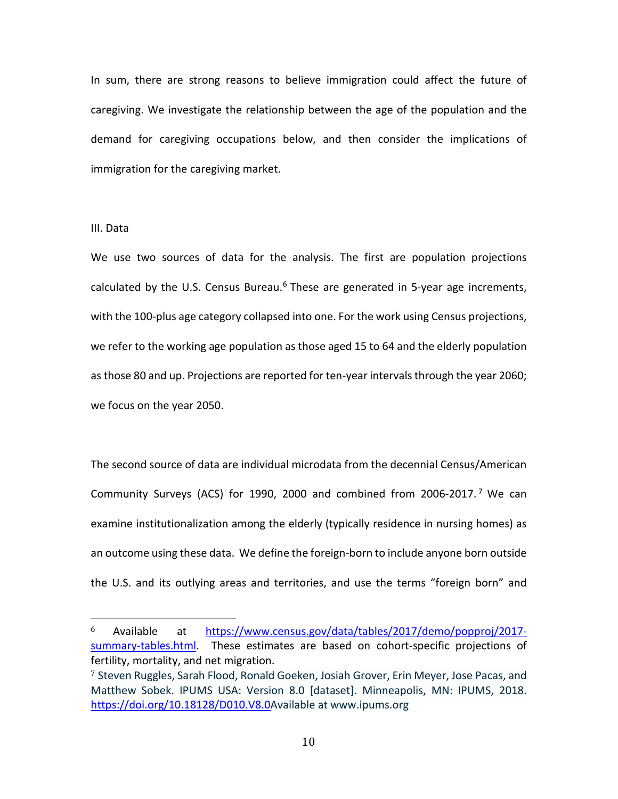In sum, there are strong reasons to believe immigration could affect the future of caregiving. We investigate the relationship between the age of the population and the demand for caregiving occupations below, and then consider the implications of immigration for the caregiving market.

### III. Data

We use two sources of data for the analysis. The first are population projections calculated by the U.S. Census Bureau. $6$  These are generated in 5-year age increments, with the 100-plus age category collapsed into one. For the work using Census projections, we refer to the working age population as those aged 15 to 64 and the elderly population as those 80 and up. Projections are reported for ten-year intervals through the year 2060; we focus on the year 2050.

The second source of data are individual microdata from the decennial Census/American Community Surveys (ACS) for 1990, 2000 and combined from 2006-2017. [7](#page-9-1) We can examine institutionalization among the elderly (typically residence in nursing homes) as an outcome using these data. We define the foreign-born to include anyone born outside the U.S. and its outlying areas and territories, and use the terms "foreign born" and

<span id="page-9-0"></span> <sup>6</sup> Available at [https://www.census.gov/data/tables/2017/demo/popproj/2017](https://www.census.gov/data/tables/2017/demo/popproj/2017-summary-tables.html) [summary-tables.html.](https://www.census.gov/data/tables/2017/demo/popproj/2017-summary-tables.html) These estimates are based on cohort-specific projections of fertility, mortality, and net migration.

<span id="page-9-1"></span><sup>7</sup> Steven Ruggles, Sarah Flood, Ronald Goeken, Josiah Grover, Erin Meyer, Jose Pacas, and Matthew Sobek. IPUMS USA: Version 8.0 [dataset]. Minneapolis, MN: IPUMS, 2018. [https://doi.org/10.18128/D010.V8.0A](https://doi.org/10.18128/D010.V8.0)vailable at www.ipums.org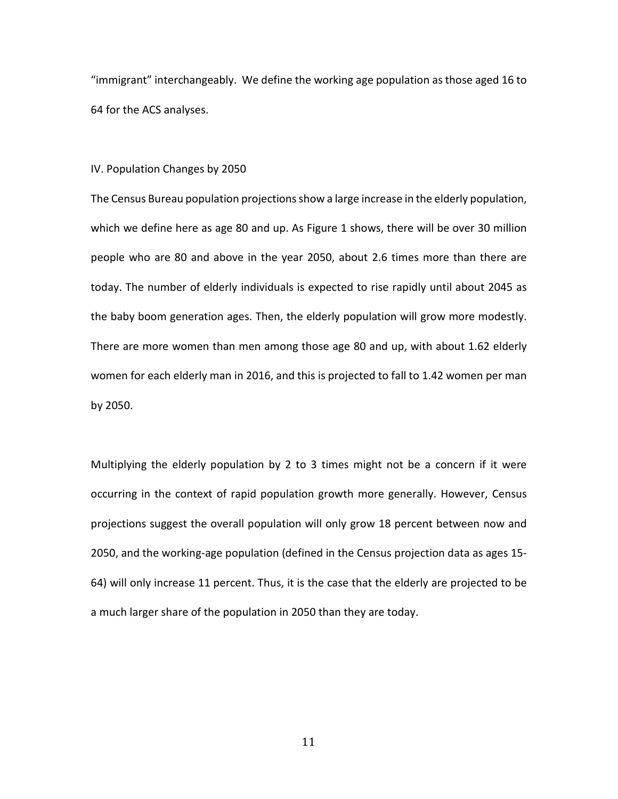"immigrant" interchangeably. We define the working age population as those aged 16 to 64 for the ACS analyses.

### IV. Population Changes by 2050

The Census Bureau population projections show a large increase in the elderly population, which we define here as age 80 and up. As Figure 1 shows, there will be over 30 million people who are 80 and above in the year 2050, about 2.6 times more than there are today. The number of elderly individuals is expected to rise rapidly until about 2045 as the baby boom generation ages. Then, the elderly population will grow more modestly. There are more women than men among those age 80 and up, with about 1.62 elderly women for each elderly man in 2016, and this is projected to fall to 1.42 women per man by 2050.

Multiplying the elderly population by 2 to 3 times might not be a concern if it were occurring in the context of rapid population growth more generally. However, Census projections suggest the overall population will only grow 18 percent between now and 2050, and the working-age population (defined in the Census projection data as ages 15- 64) will only increase 11 percent. Thus, it is the case that the elderly are projected to be a much larger share of the population in 2050 than they are today.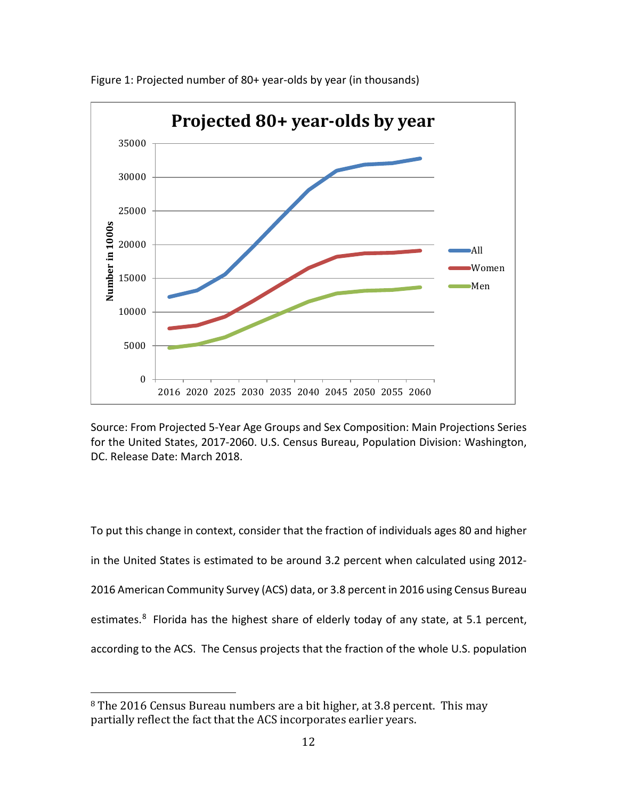

Figure 1: Projected number of 80+ year-olds by year (in thousands)

Source: From Projected 5-Year Age Groups and Sex Composition: Main Projections Series for the United States, 2017-2060. U.S. Census Bureau, Population Division: Washington, DC. Release Date: March 2018.

To put this change in context, consider that the fraction of individuals ages 80 and higher in the United States is estimated to be around 3.2 percent when calculated using 2012- 2016 American Community Survey (ACS) data, or 3.8 percent in 2016 using Census Bureau estimates.<sup>[8](#page-11-0)</sup> Florida has the highest share of elderly today of any state, at 5.1 percent, according to the ACS. The Census projects that the fraction of the whole U.S. population

<span id="page-11-0"></span> <sup>8</sup> The 2016 Census Bureau numbers are a bit higher, at 3.8 percent. This may partially reflect the fact that the ACS incorporates earlier years.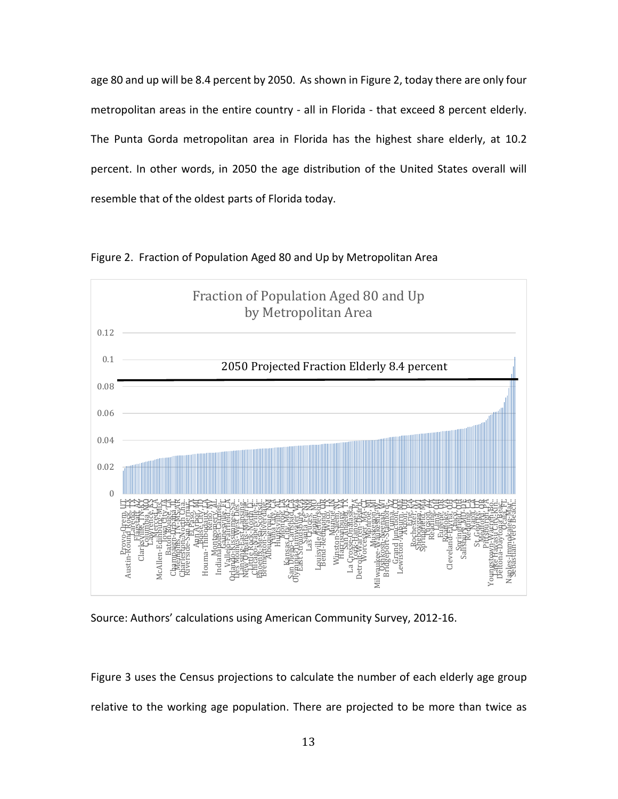age 80 and up will be 8.4 percent by 2050. As shown in Figure 2, today there are only four metropolitan areas in the entire country - all in Florida - that exceed 8 percent elderly. The Punta Gorda metropolitan area in Florida has the highest share elderly, at 10.2 percent. In other words, in 2050 the age distribution of the United States overall will resemble that of the oldest parts of Florida today.



Figure 2. Fraction of Population Aged 80 and Up by Metropolitan Area



Figure 3 uses the Census projections to calculate the number of each elderly age group relative to the working age population. There are projected to be more than twice as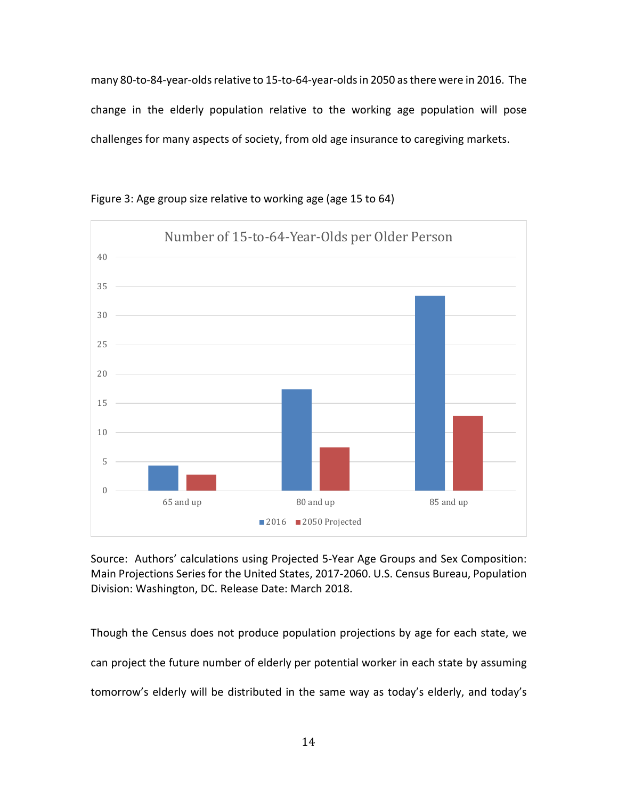many 80-to-84-year-olds relative to 15-to-64-year-olds in 2050 as there were in 2016. The change in the elderly population relative to the working age population will pose challenges for many aspects of society, from old age insurance to caregiving markets.



Figure 3: Age group size relative to working age (age 15 to 64)

Source: Authors' calculations using Projected 5-Year Age Groups and Sex Composition: Main Projections Series for the United States, 2017-2060. U.S. Census Bureau, Population Division: Washington, DC. Release Date: March 2018.

Though the Census does not produce population projections by age for each state, we can project the future number of elderly per potential worker in each state by assuming tomorrow's elderly will be distributed in the same way as today's elderly, and today's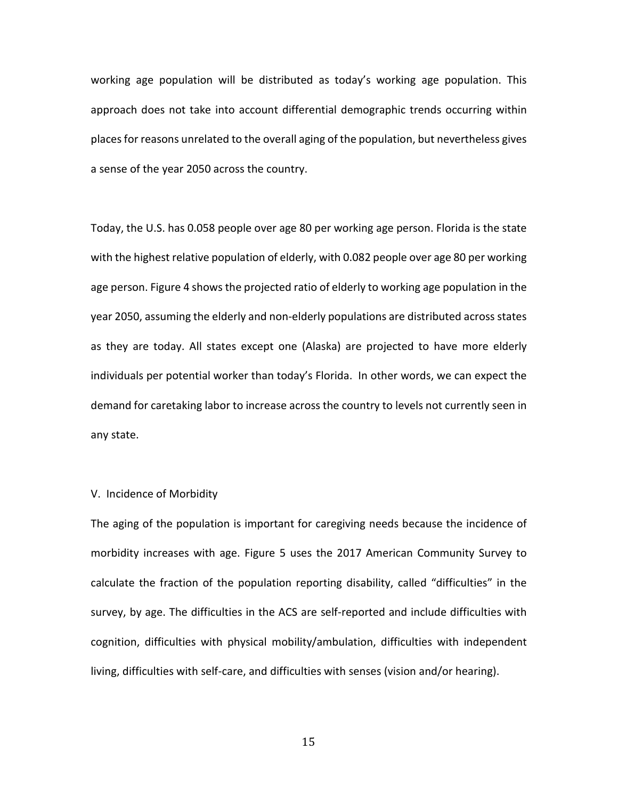working age population will be distributed as today's working age population. This approach does not take into account differential demographic trends occurring within placesfor reasons unrelated to the overall aging of the population, but nevertheless gives a sense of the year 2050 across the country.

Today, the U.S. has 0.058 people over age 80 per working age person. Florida is the state with the highest relative population of elderly, with 0.082 people over age 80 per working age person. Figure 4 shows the projected ratio of elderly to working age population in the year 2050, assuming the elderly and non-elderly populations are distributed across states as they are today. All states except one (Alaska) are projected to have more elderly individuals per potential worker than today's Florida. In other words, we can expect the demand for caretaking labor to increase across the country to levels not currently seen in any state.

# V. Incidence of Morbidity

The aging of the population is important for caregiving needs because the incidence of morbidity increases with age. Figure 5 uses the 2017 American Community Survey to calculate the fraction of the population reporting disability, called "difficulties" in the survey, by age. The difficulties in the ACS are self-reported and include difficulties with cognition, difficulties with physical mobility/ambulation, difficulties with independent living, difficulties with self-care, and difficulties with senses (vision and/or hearing).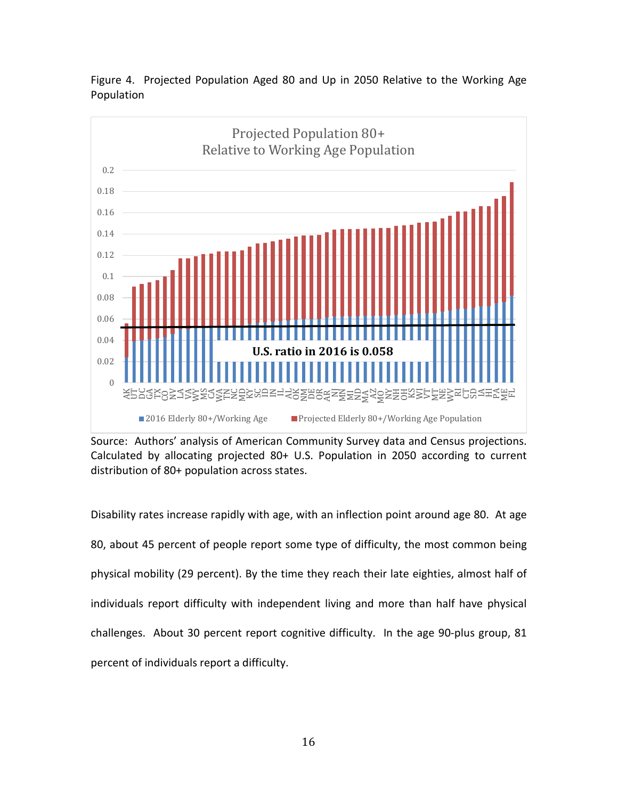

Figure 4. Projected Population Aged 80 and Up in 2050 Relative to the Working Age Population

Source: Authors' analysis of American Community Survey data and Census projections. Calculated by allocating projected 80+ U.S. Population in 2050 according to current distribution of 80+ population across states.

Disability rates increase rapidly with age, with an inflection point around age 80. At age 80, about 45 percent of people report some type of difficulty, the most common being physical mobility (29 percent). By the time they reach their late eighties, almost half of individuals report difficulty with independent living and more than half have physical challenges. About 30 percent report cognitive difficulty. In the age 90-plus group, 81 percent of individuals report a difficulty.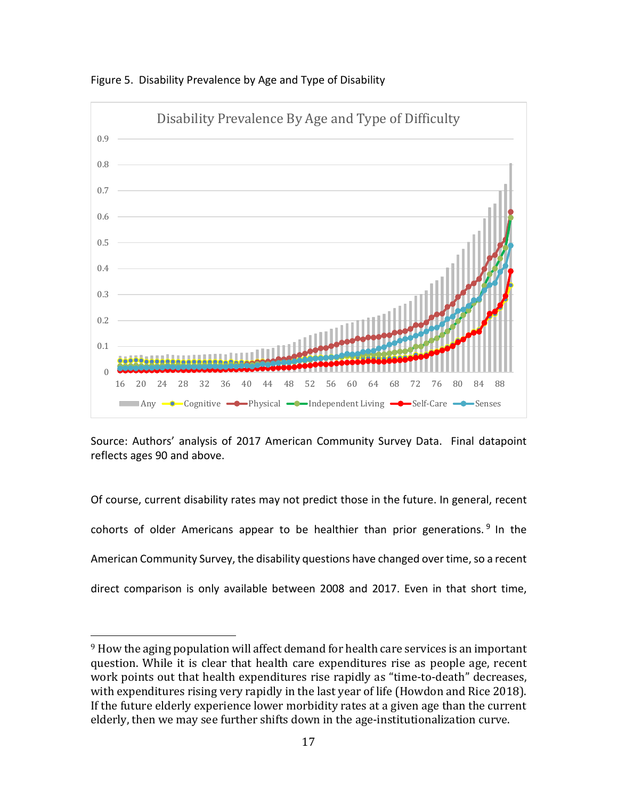

Figure 5. Disability Prevalence by Age and Type of Disability

Source: Authors' analysis of 2017 American Community Survey Data. Final datapoint reflects ages 90 and above.

Of course, current disability rates may not predict those in the future. In general, recent cohorts of older Americans appear to be healthier than prior generations.  $9$  In the American Community Survey, the disability questions have changed over time, so a recent direct comparison is only available between 2008 and 2017. Even in that short time,

<span id="page-16-0"></span><sup>&</sup>lt;sup>9</sup> How the aging population will affect demand for health care services is an important question. While it is clear that health care expenditures rise as people age, recent work points out that health expenditures rise rapidly as "time-to-death" decreases, with expenditures rising very rapidly in the last year of life (Howdon and Rice 2018). If the future elderly experience lower morbidity rates at a given age than the current elderly, then we may see further shifts down in the age-institutionalization curve.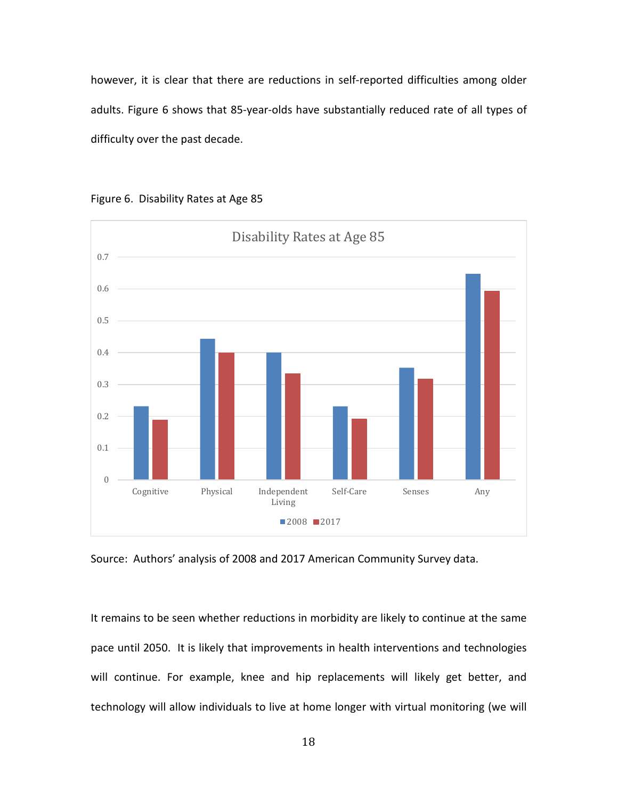however, it is clear that there are reductions in self-reported difficulties among older adults. Figure 6 shows that 85-year-olds have substantially reduced rate of all types of difficulty over the past decade.



Figure 6. Disability Rates at Age 85

Source: Authors' analysis of 2008 and 2017 American Community Survey data.

It remains to be seen whether reductions in morbidity are likely to continue at the same pace until 2050. It is likely that improvements in health interventions and technologies will continue. For example, knee and hip replacements will likely get better, and technology will allow individuals to live at home longer with virtual monitoring (we will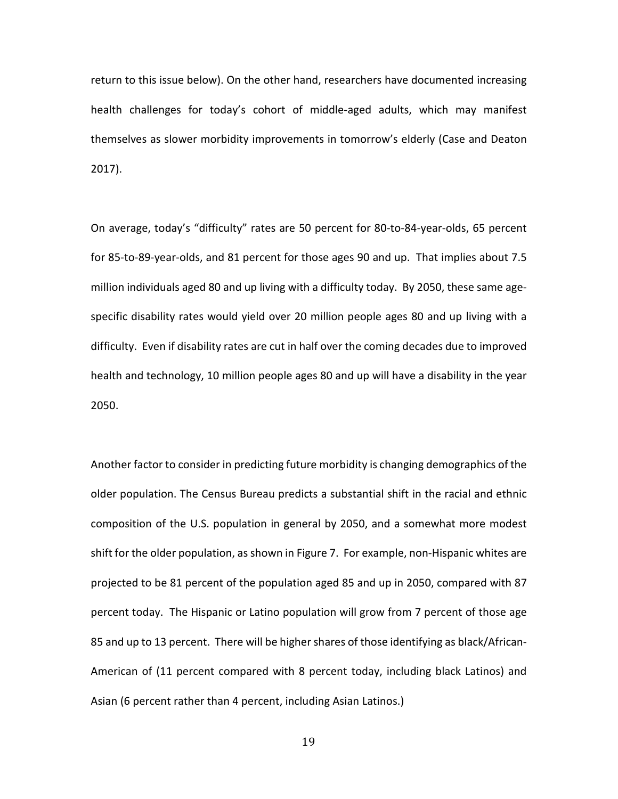return to this issue below). On the other hand, researchers have documented increasing health challenges for today's cohort of middle-aged adults, which may manifest themselves as slower morbidity improvements in tomorrow's elderly (Case and Deaton 2017).

On average, today's "difficulty" rates are 50 percent for 80-to-84-year-olds, 65 percent for 85-to-89-year-olds, and 81 percent for those ages 90 and up. That implies about 7.5 million individuals aged 80 and up living with a difficulty today. By 2050, these same agespecific disability rates would yield over 20 million people ages 80 and up living with a difficulty. Even if disability rates are cut in half over the coming decades due to improved health and technology, 10 million people ages 80 and up will have a disability in the year 2050.

Another factor to consider in predicting future morbidity is changing demographics of the older population. The Census Bureau predicts a substantial shift in the racial and ethnic composition of the U.S. population in general by 2050, and a somewhat more modest shift for the older population, as shown in Figure 7. For example, non-Hispanic whites are projected to be 81 percent of the population aged 85 and up in 2050, compared with 87 percent today. The Hispanic or Latino population will grow from 7 percent of those age 85 and up to 13 percent. There will be higher shares of those identifying as black/African-American of (11 percent compared with 8 percent today, including black Latinos) and Asian (6 percent rather than 4 percent, including Asian Latinos.)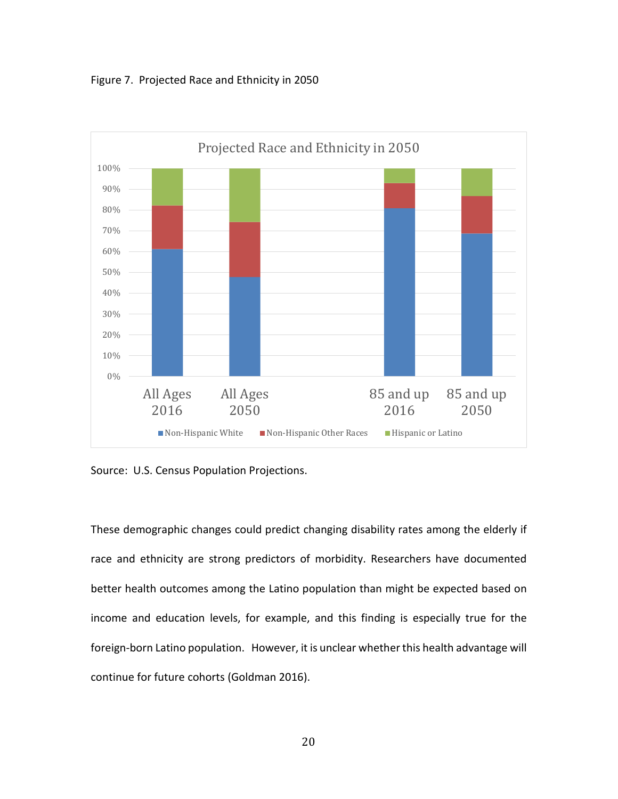



Source: U.S. Census Population Projections.

These demographic changes could predict changing disability rates among the elderly if race and ethnicity are strong predictors of morbidity. Researchers have documented better health outcomes among the Latino population than might be expected based on income and education levels, for example, and this finding is especially true for the foreign-born Latino population. However, it is unclear whether this health advantage will continue for future cohorts (Goldman 2016).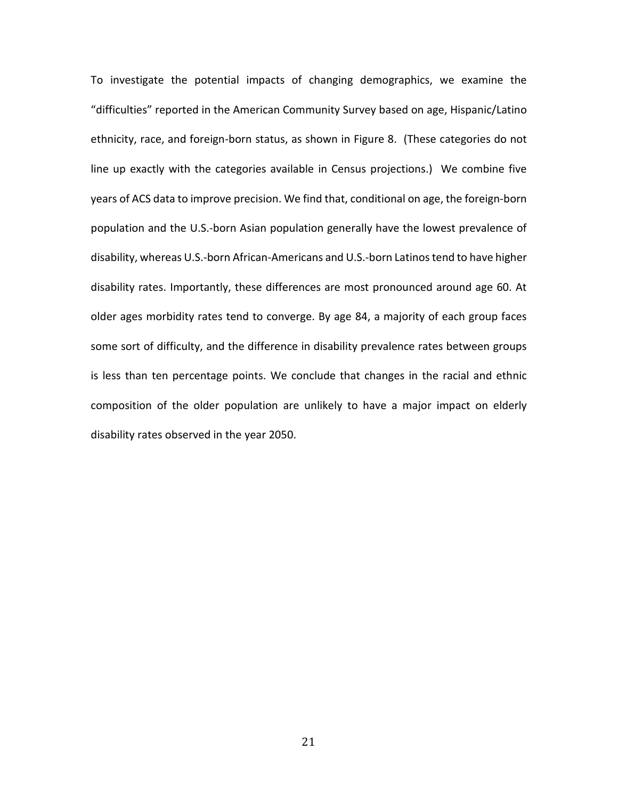To investigate the potential impacts of changing demographics, we examine the "difficulties" reported in the American Community Survey based on age, Hispanic/Latino ethnicity, race, and foreign-born status, as shown in Figure 8. (These categories do not line up exactly with the categories available in Census projections.) We combine five years of ACS data to improve precision. We find that, conditional on age, the foreign-born population and the U.S.-born Asian population generally have the lowest prevalence of disability, whereas U.S.-born African-Americans and U.S.-born Latinos tend to have higher disability rates. Importantly, these differences are most pronounced around age 60. At older ages morbidity rates tend to converge. By age 84, a majority of each group faces some sort of difficulty, and the difference in disability prevalence rates between groups is less than ten percentage points. We conclude that changes in the racial and ethnic composition of the older population are unlikely to have a major impact on elderly disability rates observed in the year 2050.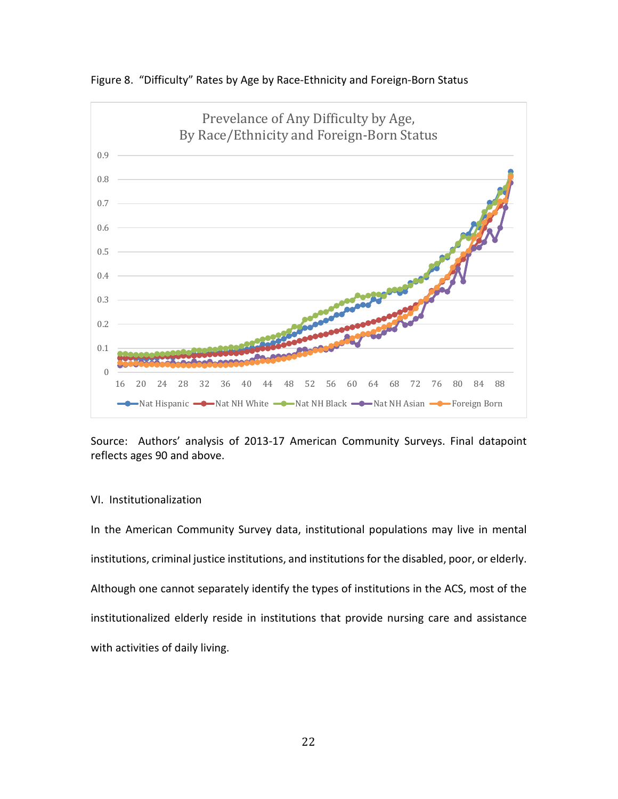

Figure 8. "Difficulty" Rates by Age by Race-Ethnicity and Foreign-Born Status

Source: Authors' analysis of 2013-17 American Community Surveys. Final datapoint reflects ages 90 and above.

### VI. Institutionalization

In the American Community Survey data, institutional populations may live in mental institutions, criminal justice institutions, and institutions for the disabled, poor, or elderly. Although one cannot separately identify the types of institutions in the ACS, most of the institutionalized elderly reside in institutions that provide nursing care and assistance with activities of daily living.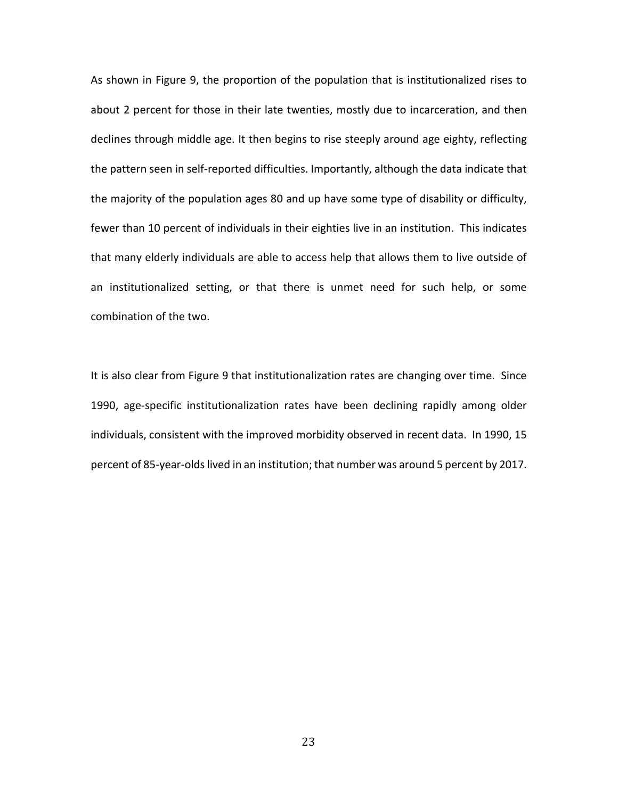As shown in Figure 9, the proportion of the population that is institutionalized rises to about 2 percent for those in their late twenties, mostly due to incarceration, and then declines through middle age. It then begins to rise steeply around age eighty, reflecting the pattern seen in self-reported difficulties. Importantly, although the data indicate that the majority of the population ages 80 and up have some type of disability or difficulty, fewer than 10 percent of individuals in their eighties live in an institution. This indicates that many elderly individuals are able to access help that allows them to live outside of an institutionalized setting, or that there is unmet need for such help, or some combination of the two.

It is also clear from Figure 9 that institutionalization rates are changing over time. Since 1990, age-specific institutionalization rates have been declining rapidly among older individuals, consistent with the improved morbidity observed in recent data. In 1990, 15 percent of 85-year-olds lived in an institution; that number was around 5 percent by 2017.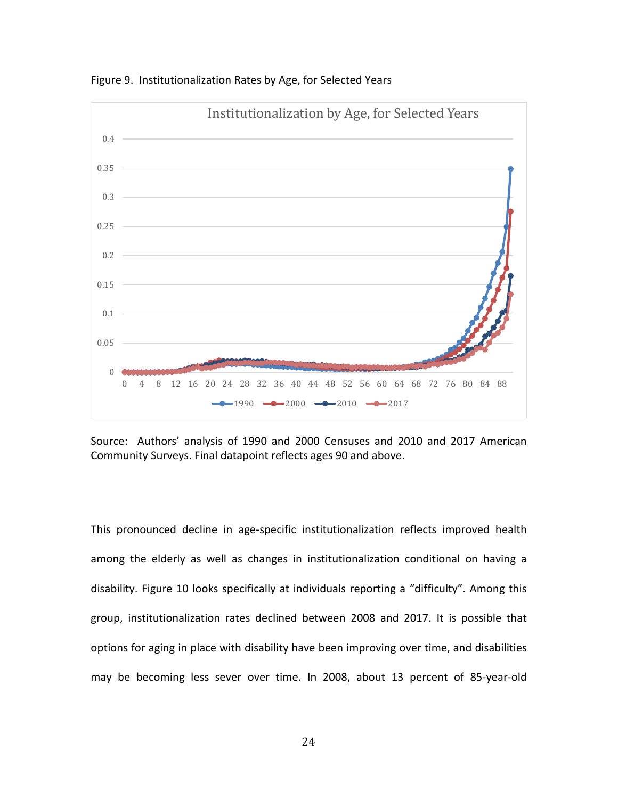

Figure 9. Institutionalization Rates by Age, for Selected Years

Source: Authors' analysis of 1990 and 2000 Censuses and 2010 and 2017 American Community Surveys. Final datapoint reflects ages 90 and above.

This pronounced decline in age-specific institutionalization reflects improved health among the elderly as well as changes in institutionalization conditional on having a disability. Figure 10 looks specifically at individuals reporting a "difficulty". Among this group, institutionalization rates declined between 2008 and 2017. It is possible that options for aging in place with disability have been improving over time, and disabilities may be becoming less sever over time. In 2008, about 13 percent of 85-year-old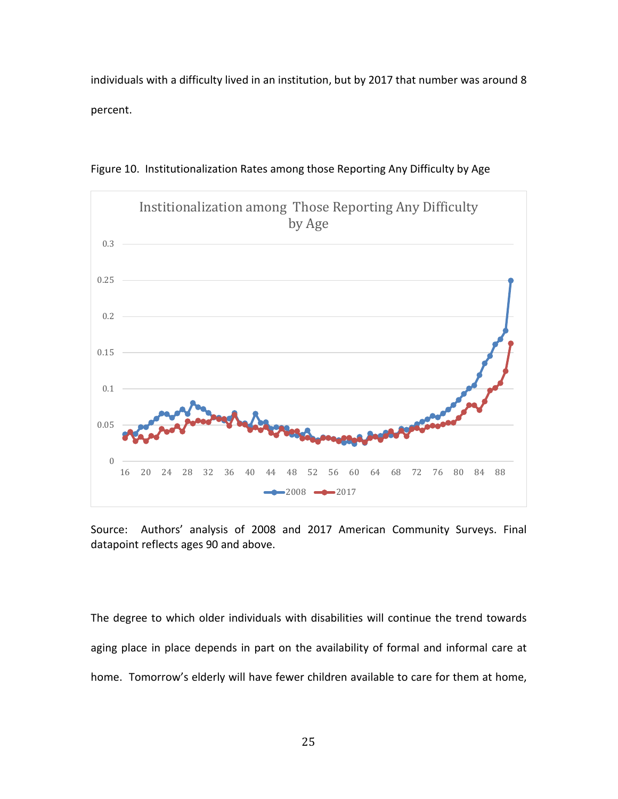individuals with a difficulty lived in an institution, but by 2017 that number was around 8 percent.



Figure 10. Institutionalization Rates among those Reporting Any Difficulty by Age

Source: Authors' analysis of 2008 and 2017 American Community Surveys. Final datapoint reflects ages 90 and above.

The degree to which older individuals with disabilities will continue the trend towards aging place in place depends in part on the availability of formal and informal care at home. Tomorrow's elderly will have fewer children available to care for them at home,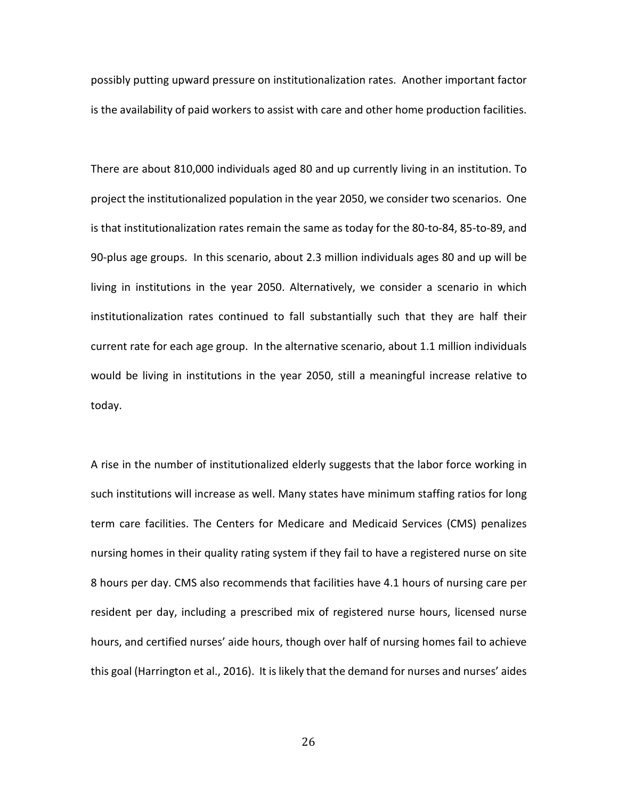possibly putting upward pressure on institutionalization rates. Another important factor is the availability of paid workers to assist with care and other home production facilities.

There are about 810,000 individuals aged 80 and up currently living in an institution. To project the institutionalized population in the year 2050, we consider two scenarios. One is that institutionalization rates remain the same as today for the 80-to-84, 85-to-89, and 90-plus age groups. In this scenario, about 2.3 million individuals ages 80 and up will be living in institutions in the year 2050. Alternatively, we consider a scenario in which institutionalization rates continued to fall substantially such that they are half their current rate for each age group. In the alternative scenario, about 1.1 million individuals would be living in institutions in the year 2050, still a meaningful increase relative to today.

A rise in the number of institutionalized elderly suggests that the labor force working in such institutions will increase as well. Many states have minimum staffing ratios for long term care facilities. The Centers for Medicare and Medicaid Services (CMS) penalizes nursing homes in their quality rating system if they fail to have a registered nurse on site 8 hours per day. CMS also recommends that facilities have 4.1 hours of nursing care per resident per day, including a prescribed mix of registered nurse hours, licensed nurse hours, and certified nurses' aide hours, though over half of nursing homes fail to achieve this goal (Harrington et al., 2016). It is likely that the demand for nurses and nurses' aides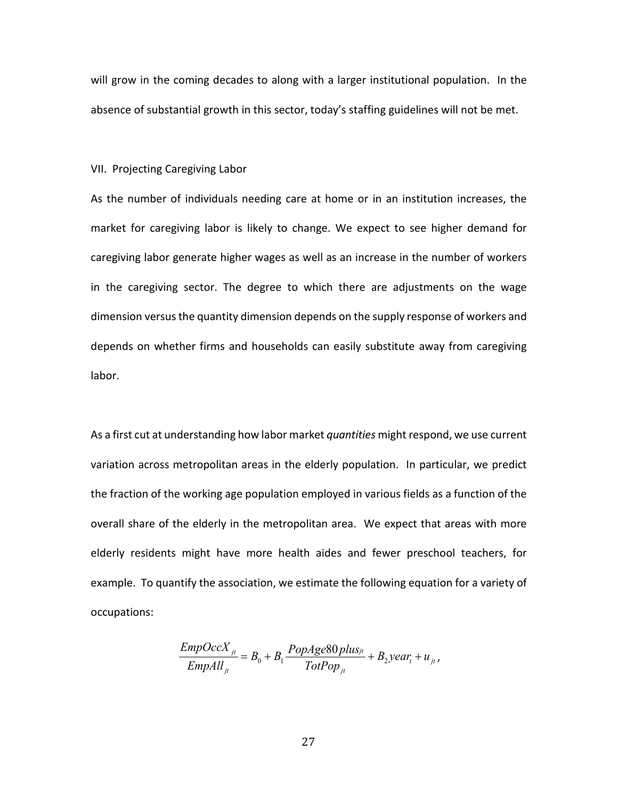will grow in the coming decades to along with a larger institutional population. In the absence of substantial growth in this sector, today's staffing guidelines will not be met.

VII. Projecting Caregiving Labor

As the number of individuals needing care at home or in an institution increases, the market for caregiving labor is likely to change. We expect to see higher demand for caregiving labor generate higher wages as well as an increase in the number of workers in the caregiving sector. The degree to which there are adjustments on the wage dimension versus the quantity dimension depends on the supply response of workers and depends on whether firms and households can easily substitute away from caregiving labor.

As a first cut at understanding how labor market *quantities* might respond, we use current variation across metropolitan areas in the elderly population. In particular, we predict the fraction of the working age population employed in various fields as a function of the overall share of the elderly in the metropolitan area. We expect that areas with more elderly residents might have more health aides and fewer preschool teachers, for example. To quantify the association, we estimate the following equation for a variety of occupations:

$$
\frac{EmpOccX_{ji}}{EmpAll_{ji}} = B_0 + B_1 \frac{PopAge80 plus_{ji}}{TotPop_{ji}} + B_2 year_i + u_{ji},
$$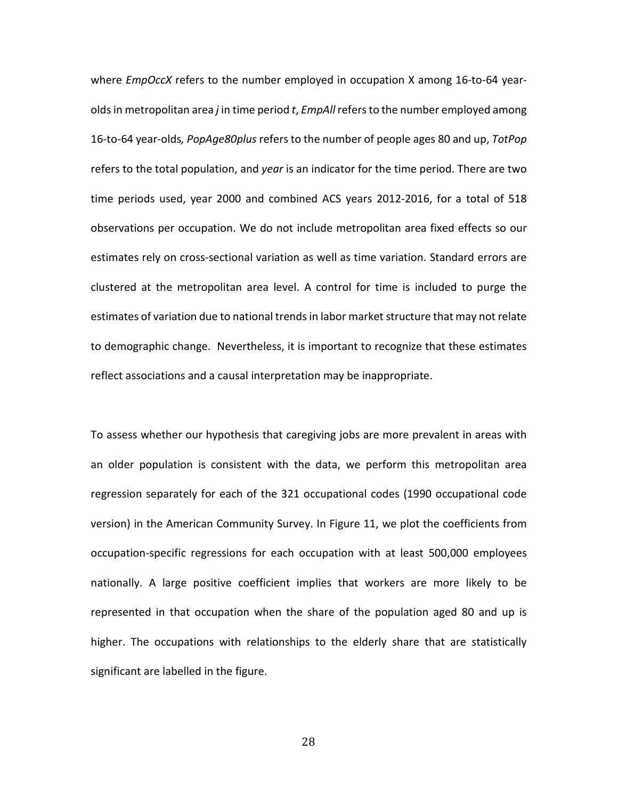where *EmpOccX* refers to the number employed in occupation X among 16-to-64 yearolds in metropolitan area *j* in time period *t*, *EmpAll* refers to the number employed among 16-to-64 year-olds*, PopAge80plus* refers to the number of people ages 80 and up, *TotPop* refers to the total population, and *year* is an indicator for the time period. There are two time periods used, year 2000 and combined ACS years 2012-2016, for a total of 518 observations per occupation. We do not include metropolitan area fixed effects so our estimates rely on cross-sectional variation as well as time variation. Standard errors are clustered at the metropolitan area level. A control for time is included to purge the estimates of variation due to national trends in labor market structure that may not relate to demographic change. Nevertheless, it is important to recognize that these estimates reflect associations and a causal interpretation may be inappropriate.

To assess whether our hypothesis that caregiving jobs are more prevalent in areas with an older population is consistent with the data, we perform this metropolitan area regression separately for each of the 321 occupational codes (1990 occupational code version) in the American Community Survey. In Figure 11, we plot the coefficients from occupation-specific regressions for each occupation with at least 500,000 employees nationally. A large positive coefficient implies that workers are more likely to be represented in that occupation when the share of the population aged 80 and up is higher. The occupations with relationships to the elderly share that are statistically significant are labelled in the figure.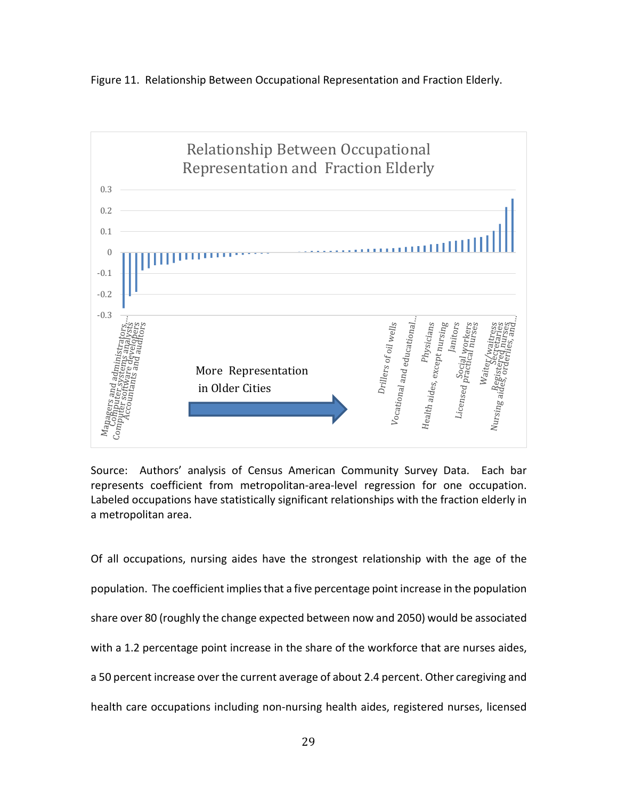



Source: Authors' analysis of Census American Community Survey Data. Each bar represents coefficient from metropolitan-area-level regression for one occupation. Labeled occupations have statistically significant relationships with the fraction elderly in a metropolitan area.

Of all occupations, nursing aides have the strongest relationship with the age of the population. The coefficient implies that a five percentage point increase in the population share over 80 (roughly the change expected between now and 2050) would be associated with a 1.2 percentage point increase in the share of the workforce that are nurses aides, a 50 percent increase over the current average of about 2.4 percent. Other caregiving and health care occupations including non-nursing health aides, registered nurses, licensed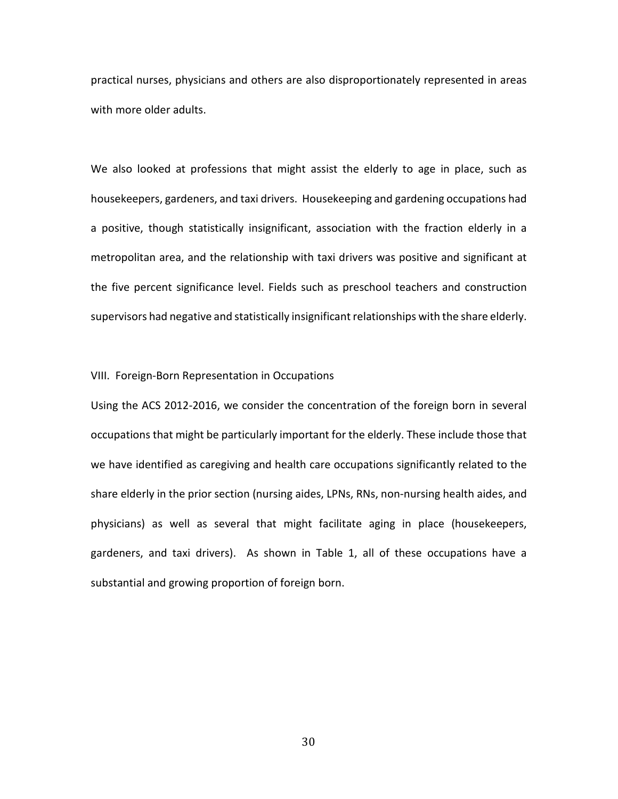practical nurses, physicians and others are also disproportionately represented in areas with more older adults.

We also looked at professions that might assist the elderly to age in place, such as housekeepers, gardeners, and taxi drivers. Housekeeping and gardening occupations had a positive, though statistically insignificant, association with the fraction elderly in a metropolitan area, and the relationship with taxi drivers was positive and significant at the five percent significance level. Fields such as preschool teachers and construction supervisors had negative and statistically insignificant relationships with the share elderly.

#### VIII. Foreign-Born Representation in Occupations

Using the ACS 2012-2016, we consider the concentration of the foreign born in several occupations that might be particularly important for the elderly. These include those that we have identified as caregiving and health care occupations significantly related to the share elderly in the prior section (nursing aides, LPNs, RNs, non-nursing health aides, and physicians) as well as several that might facilitate aging in place (housekeepers, gardeners, and taxi drivers). As shown in Table 1, all of these occupations have a substantial and growing proportion of foreign born.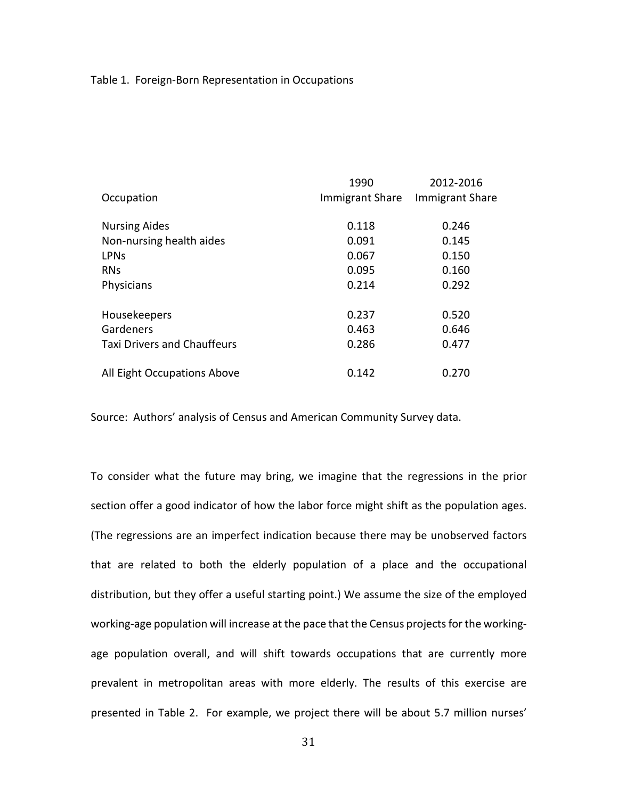### Table 1. Foreign-Born Representation in Occupations

|                                    | 1990                   | 2012-2016<br><b>Immigrant Share</b> |  |
|------------------------------------|------------------------|-------------------------------------|--|
| Occupation                         | <b>Immigrant Share</b> |                                     |  |
| <b>Nursing Aides</b>               | 0.118                  | 0.246                               |  |
| Non-nursing health aides           | 0.091                  | 0.145                               |  |
| <b>LPNs</b>                        | 0.067                  | 0.150                               |  |
| <b>RNs</b>                         | 0.095                  | 0.160                               |  |
| Physicians                         | 0.214                  | 0.292                               |  |
| Housekeepers                       | 0.237                  | 0.520                               |  |
| Gardeners                          | 0.463                  | 0.646                               |  |
| <b>Taxi Drivers and Chauffeurs</b> | 0.286                  | 0.477                               |  |
| All Eight Occupations Above        | 0.142                  | 0.270                               |  |

Source: Authors' analysis of Census and American Community Survey data.

To consider what the future may bring, we imagine that the regressions in the prior section offer a good indicator of how the labor force might shift as the population ages. (The regressions are an imperfect indication because there may be unobserved factors that are related to both the elderly population of a place and the occupational distribution, but they offer a useful starting point.) We assume the size of the employed working-age population will increase at the pace that the Census projects for the workingage population overall, and will shift towards occupations that are currently more prevalent in metropolitan areas with more elderly. The results of this exercise are presented in Table 2. For example, we project there will be about 5.7 million nurses'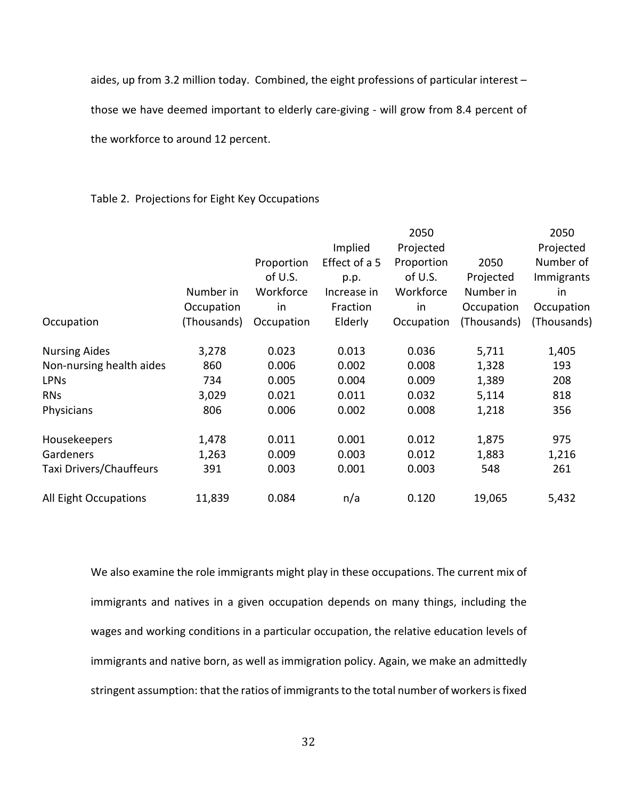aides, up from 3.2 million today. Combined, the eight professions of particular interest –

those we have deemed important to elderly care-giving - will grow from 8.4 percent of

the workforce to around 12 percent.

### Table 2. Projections for Eight Key Occupations

|                          |             |            |               | 2050       |             | 2050        |
|--------------------------|-------------|------------|---------------|------------|-------------|-------------|
|                          |             |            | Implied       | Projected  |             | Projected   |
|                          |             | Proportion | Effect of a 5 | Proportion | 2050        | Number of   |
|                          |             | of U.S.    | p.p.          | of U.S.    | Projected   | Immigrants  |
|                          | Number in   | Workforce  | Increase in   | Workforce  | Number in   | in          |
|                          | Occupation  | in         | Fraction      | in         | Occupation  | Occupation  |
| Occupation               | (Thousands) | Occupation | Elderly       | Occupation | (Thousands) | (Thousands) |
| <b>Nursing Aides</b>     | 3,278       | 0.023      | 0.013         | 0.036      | 5,711       | 1,405       |
| Non-nursing health aides | 860         | 0.006      | 0.002         | 0.008      | 1,328       | 193         |
| <b>LPN<sub>s</sub></b>   | 734         | 0.005      | 0.004         | 0.009      | 1,389       | 208         |
| <b>RNs</b>               | 3,029       | 0.021      | 0.011         | 0.032      | 5,114       | 818         |
| Physicians               | 806         | 0.006      | 0.002         | 0.008      | 1,218       | 356         |
| Housekeepers             | 1,478       | 0.011      | 0.001         | 0.012      | 1,875       | 975         |
| Gardeners                | 1,263       | 0.009      | 0.003         | 0.012      | 1,883       | 1,216       |
| Taxi Drivers/Chauffeurs  | 391         | 0.003      | 0.001         | 0.003      | 548         | 261         |
| All Eight Occupations    | 11,839      | 0.084      | n/a           | 0.120      | 19,065      | 5,432       |

We also examine the role immigrants might play in these occupations. The current mix of immigrants and natives in a given occupation depends on many things, including the wages and working conditions in a particular occupation, the relative education levels of immigrants and native born, as well as immigration policy. Again, we make an admittedly stringent assumption: that the ratios of immigrants to the total number of workers is fixed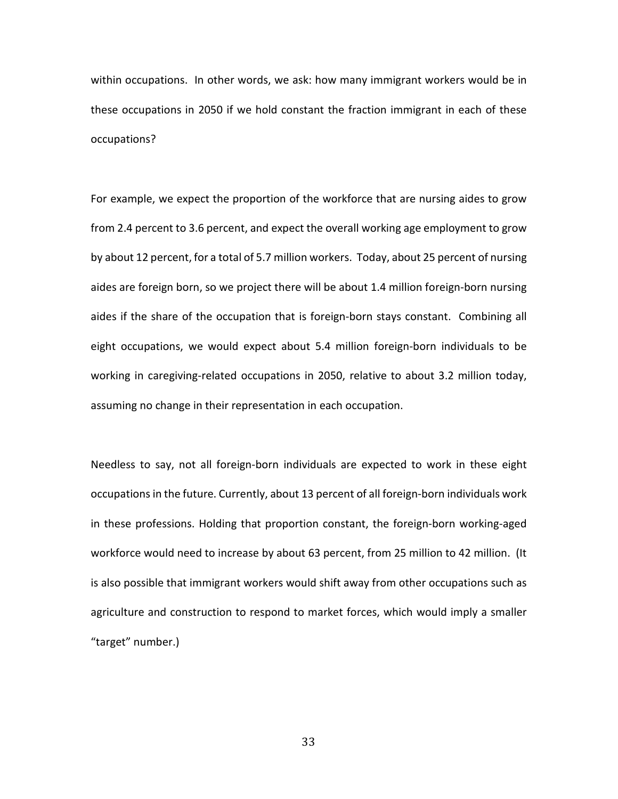within occupations. In other words, we ask: how many immigrant workers would be in these occupations in 2050 if we hold constant the fraction immigrant in each of these occupations?

For example, we expect the proportion of the workforce that are nursing aides to grow from 2.4 percent to 3.6 percent, and expect the overall working age employment to grow by about 12 percent, for a total of 5.7 million workers. Today, about 25 percent of nursing aides are foreign born, so we project there will be about 1.4 million foreign-born nursing aides if the share of the occupation that is foreign-born stays constant. Combining all eight occupations, we would expect about 5.4 million foreign-born individuals to be working in caregiving-related occupations in 2050, relative to about 3.2 million today, assuming no change in their representation in each occupation.

Needless to say, not all foreign-born individuals are expected to work in these eight occupations in the future. Currently, about 13 percent of all foreign-born individuals work in these professions. Holding that proportion constant, the foreign-born working-aged workforce would need to increase by about 63 percent, from 25 million to 42 million. (It is also possible that immigrant workers would shift away from other occupations such as agriculture and construction to respond to market forces, which would imply a smaller "target" number.)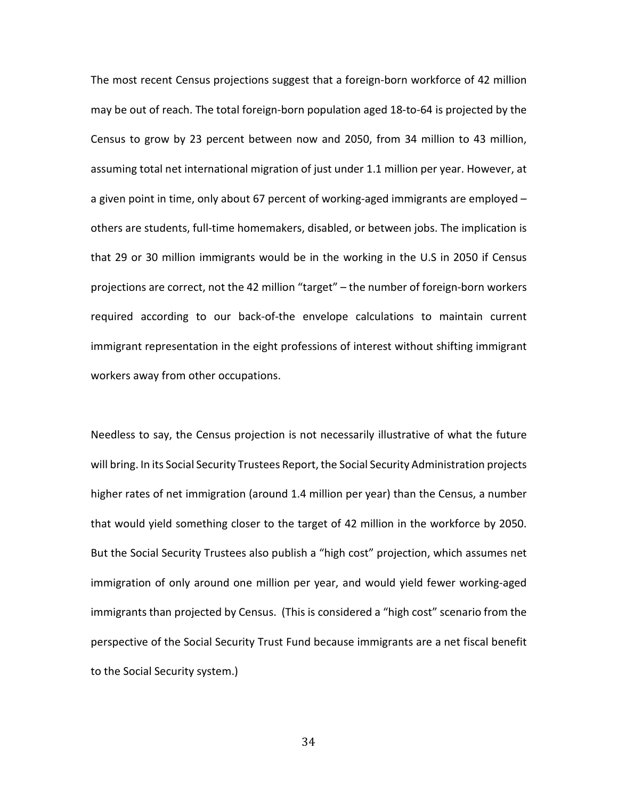The most recent Census projections suggest that a foreign-born workforce of 42 million may be out of reach. The total foreign-born population aged 18-to-64 is projected by the Census to grow by 23 percent between now and 2050, from 34 million to 43 million, assuming total net international migration of just under 1.1 million per year. However, at a given point in time, only about 67 percent of working-aged immigrants are employed – others are students, full-time homemakers, disabled, or between jobs. The implication is that 29 or 30 million immigrants would be in the working in the U.S in 2050 if Census projections are correct, not the 42 million "target" – the number of foreign-born workers required according to our back-of-the envelope calculations to maintain current immigrant representation in the eight professions of interest without shifting immigrant workers away from other occupations.

Needless to say, the Census projection is not necessarily illustrative of what the future will bring. In its Social Security Trustees Report, the Social Security Administration projects higher rates of net immigration (around 1.4 million per year) than the Census, a number that would yield something closer to the target of 42 million in the workforce by 2050. But the Social Security Trustees also publish a "high cost" projection, which assumes net immigration of only around one million per year, and would yield fewer working-aged immigrants than projected by Census. (This is considered a "high cost" scenario from the perspective of the Social Security Trust Fund because immigrants are a net fiscal benefit to the Social Security system.)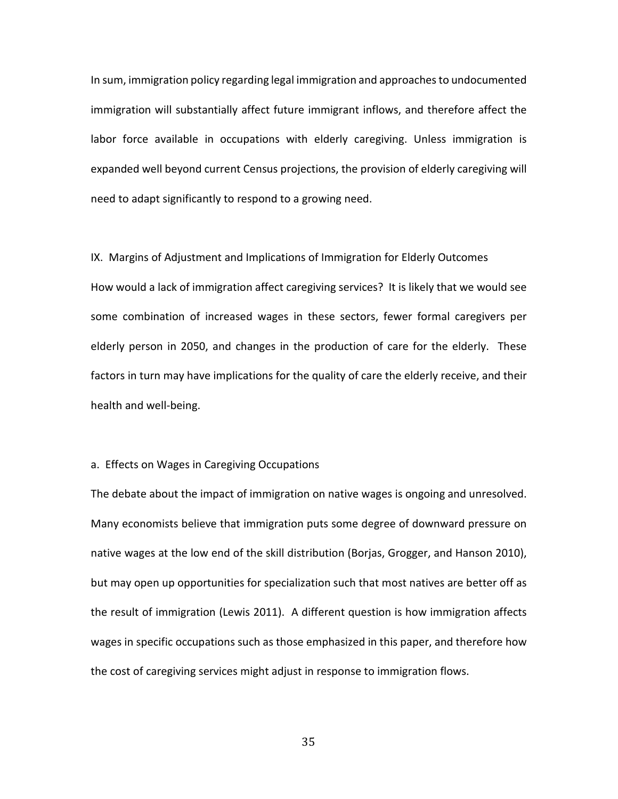In sum, immigration policy regarding legal immigration and approaches to undocumented immigration will substantially affect future immigrant inflows, and therefore affect the labor force available in occupations with elderly caregiving. Unless immigration is expanded well beyond current Census projections, the provision of elderly caregiving will need to adapt significantly to respond to a growing need.

IX. Margins of Adjustment and Implications of Immigration for Elderly Outcomes How would a lack of immigration affect caregiving services? It is likely that we would see some combination of increased wages in these sectors, fewer formal caregivers per elderly person in 2050, and changes in the production of care for the elderly. These factors in turn may have implications for the quality of care the elderly receive, and their health and well-being.

### a. Effects on Wages in Caregiving Occupations

The debate about the impact of immigration on native wages is ongoing and unresolved. Many economists believe that immigration puts some degree of downward pressure on native wages at the low end of the skill distribution (Borjas, Grogger, and Hanson 2010), but may open up opportunities for specialization such that most natives are better off as the result of immigration (Lewis 2011). A different question is how immigration affects wages in specific occupations such as those emphasized in this paper, and therefore how the cost of caregiving services might adjust in response to immigration flows.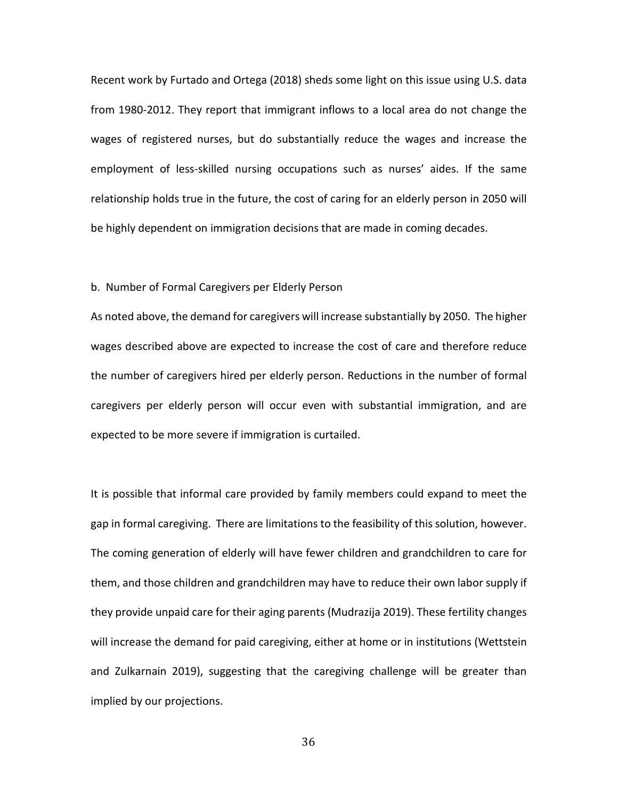Recent work by Furtado and Ortega (2018) sheds some light on this issue using U.S. data from 1980-2012. They report that immigrant inflows to a local area do not change the wages of registered nurses, but do substantially reduce the wages and increase the employment of less-skilled nursing occupations such as nurses' aides. If the same relationship holds true in the future, the cost of caring for an elderly person in 2050 will be highly dependent on immigration decisions that are made in coming decades.

#### b. Number of Formal Caregivers per Elderly Person

As noted above, the demand for caregivers will increase substantially by 2050. The higher wages described above are expected to increase the cost of care and therefore reduce the number of caregivers hired per elderly person. Reductions in the number of formal caregivers per elderly person will occur even with substantial immigration, and are expected to be more severe if immigration is curtailed.

It is possible that informal care provided by family members could expand to meet the gap in formal caregiving. There are limitations to the feasibility of this solution, however. The coming generation of elderly will have fewer children and grandchildren to care for them, and those children and grandchildren may have to reduce their own labor supply if they provide unpaid care for their aging parents (Mudrazija 2019). These fertility changes will increase the demand for paid caregiving, either at home or in institutions (Wettstein and Zulkarnain 2019), suggesting that the caregiving challenge will be greater than implied by our projections.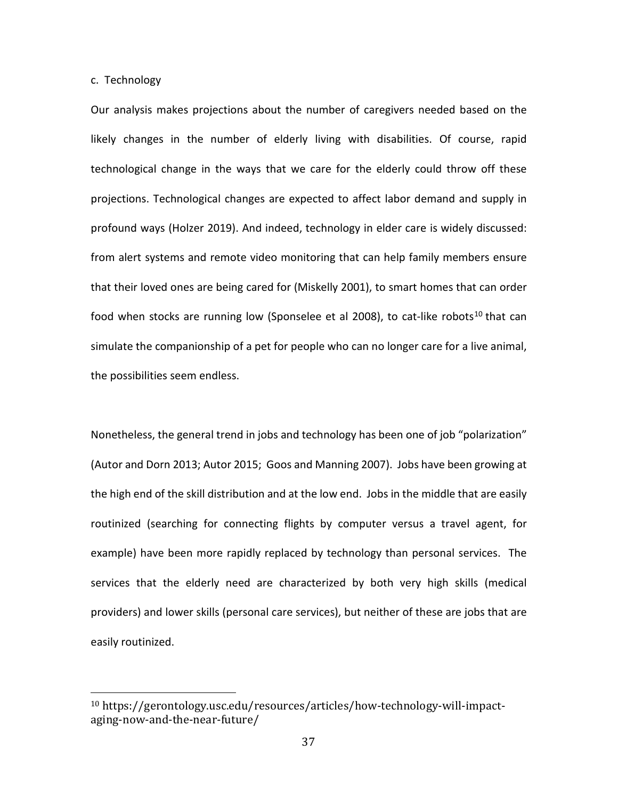c. Technology

Our analysis makes projections about the number of caregivers needed based on the likely changes in the number of elderly living with disabilities. Of course, rapid technological change in the ways that we care for the elderly could throw off these projections. Technological changes are expected to affect labor demand and supply in profound ways (Holzer 2019). And indeed, technology in elder care is widely discussed: from alert systems and remote video monitoring that can help family members ensure that their loved ones are being cared for (Miskelly 2001), to smart homes that can order food when stocks are running low (Sponselee et al 2008), to cat-like robots<sup>[10](#page-36-0)</sup> that can simulate the companionship of a pet for people who can no longer care for a live animal, the possibilities seem endless.

Nonetheless, the general trend in jobs and technology has been one of job "polarization" (Autor and Dorn 2013; Autor 2015; Goos and Manning 2007). Jobs have been growing at the high end of the skill distribution and at the low end. Jobs in the middle that are easily routinized (searching for connecting flights by computer versus a travel agent, for example) have been more rapidly replaced by technology than personal services. The services that the elderly need are characterized by both very high skills (medical providers) and lower skills (personal care services), but neither of these are jobs that are easily routinized.

<span id="page-36-0"></span> <sup>10</sup> https://gerontology.usc.edu/resources/articles/how-technology-will-impactaging-now-and-the-near-future/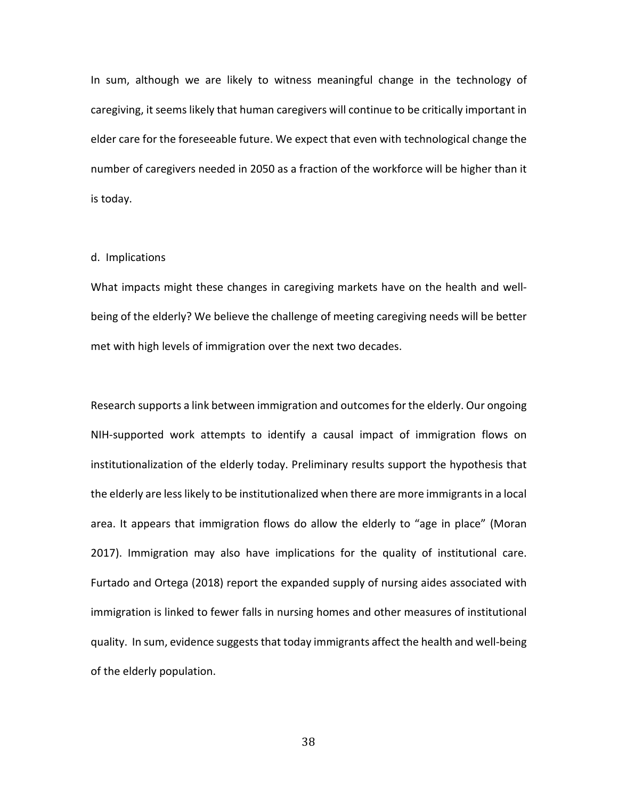In sum, although we are likely to witness meaningful change in the technology of caregiving, it seems likely that human caregivers will continue to be critically important in elder care for the foreseeable future. We expect that even with technological change the number of caregivers needed in 2050 as a fraction of the workforce will be higher than it is today.

#### d. Implications

What impacts might these changes in caregiving markets have on the health and wellbeing of the elderly? We believe the challenge of meeting caregiving needs will be better met with high levels of immigration over the next two decades.

Research supports a link between immigration and outcomes for the elderly. Our ongoing NIH-supported work attempts to identify a causal impact of immigration flows on institutionalization of the elderly today. Preliminary results support the hypothesis that the elderly are less likely to be institutionalized when there are more immigrants in a local area. It appears that immigration flows do allow the elderly to "age in place" (Moran 2017). Immigration may also have implications for the quality of institutional care. Furtado and Ortega (2018) report the expanded supply of nursing aides associated with immigration is linked to fewer falls in nursing homes and other measures of institutional quality. In sum, evidence suggests that today immigrants affect the health and well-being of the elderly population.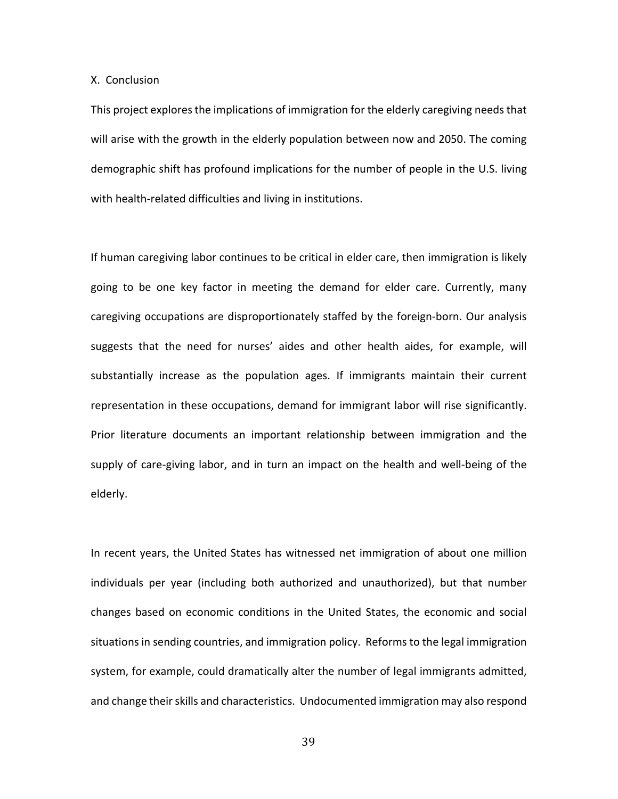X. Conclusion

This project explores the implications of immigration for the elderly caregiving needs that will arise with the growth in the elderly population between now and 2050. The coming demographic shift has profound implications for the number of people in the U.S. living with health-related difficulties and living in institutions.

If human caregiving labor continues to be critical in elder care, then immigration is likely going to be one key factor in meeting the demand for elder care. Currently, many caregiving occupations are disproportionately staffed by the foreign-born. Our analysis suggests that the need for nurses' aides and other health aides, for example, will substantially increase as the population ages. If immigrants maintain their current representation in these occupations, demand for immigrant labor will rise significantly. Prior literature documents an important relationship between immigration and the supply of care-giving labor, and in turn an impact on the health and well-being of the elderly.

In recent years, the United States has witnessed net immigration of about one million individuals per year (including both authorized and unauthorized), but that number changes based on economic conditions in the United States, the economic and social situations in sending countries, and immigration policy. Reforms to the legal immigration system, for example, could dramatically alter the number of legal immigrants admitted, and change their skills and characteristics. Undocumented immigration may also respond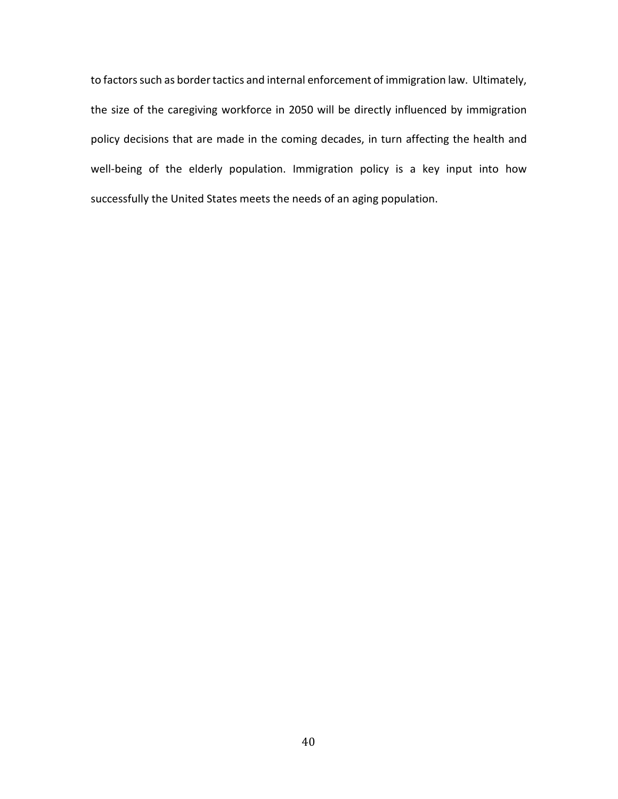to factors such as border tactics and internal enforcement of immigration law. Ultimately, the size of the caregiving workforce in 2050 will be directly influenced by immigration policy decisions that are made in the coming decades, in turn affecting the health and well-being of the elderly population. Immigration policy is a key input into how successfully the United States meets the needs of an aging population.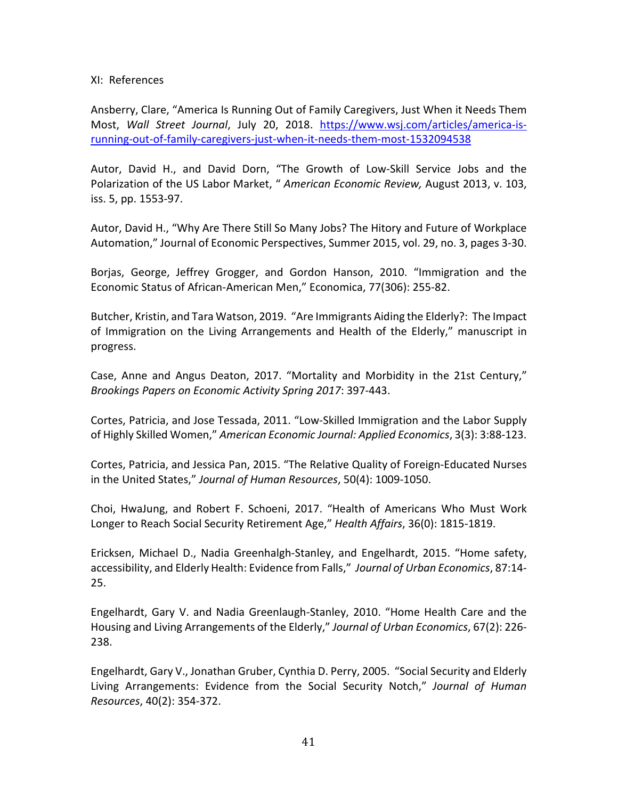# XI: References

Ansberry, Clare, "America Is Running Out of Family Caregivers, Just When it Needs Them Most, *Wall Street Journal*, July 20, 2018. [https://www.wsj.com/articles/america-is](https://www.wsj.com/articles/america-is-running-out-of-family-caregivers-just-when-it-needs-them-most-1532094538)[running-out-of-family-caregivers-just-when-it-needs-them-most-1532094538](https://www.wsj.com/articles/america-is-running-out-of-family-caregivers-just-when-it-needs-them-most-1532094538)

Autor, David H., and David Dorn, "The Growth of Low-Skill Service Jobs and the Polarization of the US Labor Market, " *American Economic Review,* August 2013, v. 103, iss. 5, pp. 1553-97.

Autor, David H., "Why Are There Still So Many Jobs? The Hitory and Future of Workplace Automation," Journal of Economic Perspectives, Summer 2015, vol. 29, no. 3, pages 3-30.

Borjas, George, Jeffrey Grogger, and Gordon Hanson, 2010. "Immigration and the Economic Status of African-American Men," Economica, 77(306): 255-82.

Butcher, Kristin, and Tara Watson, 2019. "Are Immigrants Aiding the Elderly?: The Impact of Immigration on the Living Arrangements and Health of the Elderly," manuscript in progress.

Case, Anne and Angus Deaton, 2017. "Mortality and Morbidity in the 21st Century," *Brookings Papers on Economic Activity Spring 2017*: 397-443.

Cortes, Patricia, and Jose Tessada, 2011. "Low-Skilled Immigration and the Labor Supply of Highly Skilled Women," *American Economic Journal: Applied Economics*, 3(3): 3:88-123.

Cortes, Patricia, and Jessica Pan, 2015. "The Relative Quality of Foreign-Educated Nurses in the United States," *Journal of Human Resources*, 50(4): 1009-1050.

Choi, HwaJung, and Robert F. Schoeni, 2017. "Health of Americans Who Must Work Longer to Reach Social Security Retirement Age," *Health Affairs*, 36(0): 1815-1819.

Ericksen, Michael D., Nadia Greenhalgh-Stanley, and Engelhardt, 2015. "Home safety, accessibility, and Elderly Health: Evidence from Falls," *Journal of Urban Economics*, 87:14- 25.

Engelhardt, Gary V. and Nadia Greenlaugh-Stanley, 2010. "Home Health Care and the Housing and Living Arrangements of the Elderly," *Journal of Urban Economics*, 67(2): 226- 238.

Engelhardt, Gary V., Jonathan Gruber, Cynthia D. Perry, 2005. "Social Security and Elderly Living Arrangements: Evidence from the Social Security Notch," *Journal of Human Resources*, 40(2): 354-372.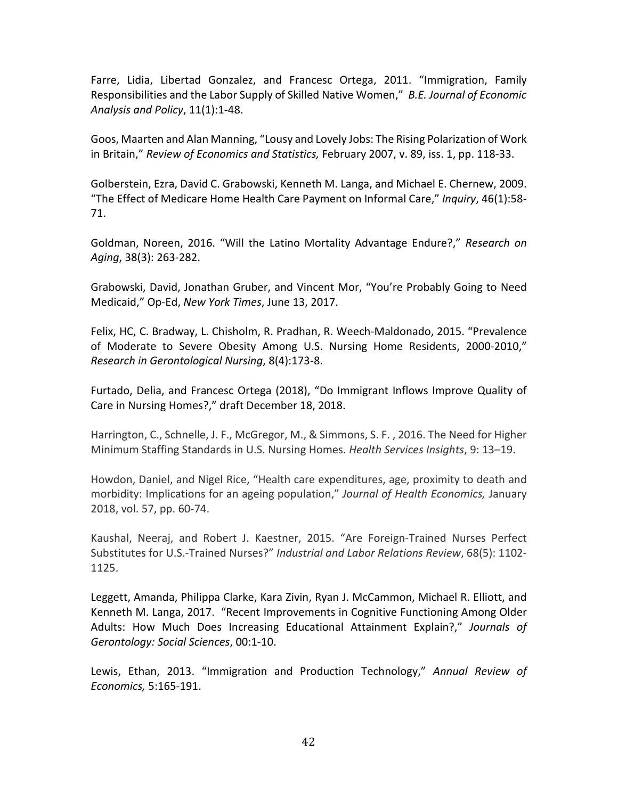Farre, Lidia, Libertad Gonzalez, and Francesc Ortega, 2011. "Immigration, Family Responsibilities and the Labor Supply of Skilled Native Women," *B.E. Journal of Economic Analysis and Policy*, 11(1):1-48.

Goos, Maarten and Alan Manning, "Lousy and Lovely Jobs: The Rising Polarization of Work in Britain," *Review of Economics and Statistics,* February 2007, v. 89, iss. 1, pp. 118-33.

Golberstein, Ezra, David C. Grabowski, Kenneth M. Langa, and Michael E. Chernew, 2009. "The Effect of Medicare Home Health Care Payment on Informal Care," *Inquiry*, 46(1):58- 71.

Goldman, Noreen, 2016. "Will the Latino Mortality Advantage Endure?," *Research on Aging*, 38(3): 263-282.

Grabowski, David, Jonathan Gruber, and Vincent Mor, "You're Probably Going to Need Medicaid," Op-Ed, *New York Times*, June 13, 2017.

Felix, HC, C. Bradway, L. Chisholm, R. Pradhan, R. Weech-Maldonado, 2015. "Prevalence of Moderate to Severe Obesity Among U.S. Nursing Home Residents, 2000-2010," *Research in Gerontological Nursing*, 8(4):173-8.

Furtado, Delia, and Francesc Ortega (2018), "Do Immigrant Inflows Improve Quality of Care in Nursing Homes?," draft December 18, 2018.

Harrington, C., Schnelle, J. F., McGregor, M., & Simmons, S. F. , 2016. The Need for Higher Minimum Staffing Standards in U.S. Nursing Homes. *Health Services Insights*, 9: 13–19.

Howdon, Daniel, and Nigel Rice, "Health care expenditures, age, proximity to death and morbidity: Implications for an ageing population," *Journal of Health Economics,* January 2018, vol. 57, pp. 60-74.

Kaushal, Neeraj, and Robert J. Kaestner, 2015. "Are Foreign-Trained Nurses Perfect Substitutes for U.S.-Trained Nurses?" *Industrial and Labor Relations Review*, 68(5): 1102- 1125.

Leggett, Amanda, Philippa Clarke, Kara Zivin, Ryan J. McCammon, Michael R. Elliott, and Kenneth M. Langa, 2017. "Recent Improvements in Cognitive Functioning Among Older Adults: How Much Does Increasing Educational Attainment Explain?," *Journals of Gerontology: Social Sciences*, 00:1-10.

Lewis, Ethan, 2013. "Immigration and Production Technology," *Annual Review of Economics,* 5:165-191.